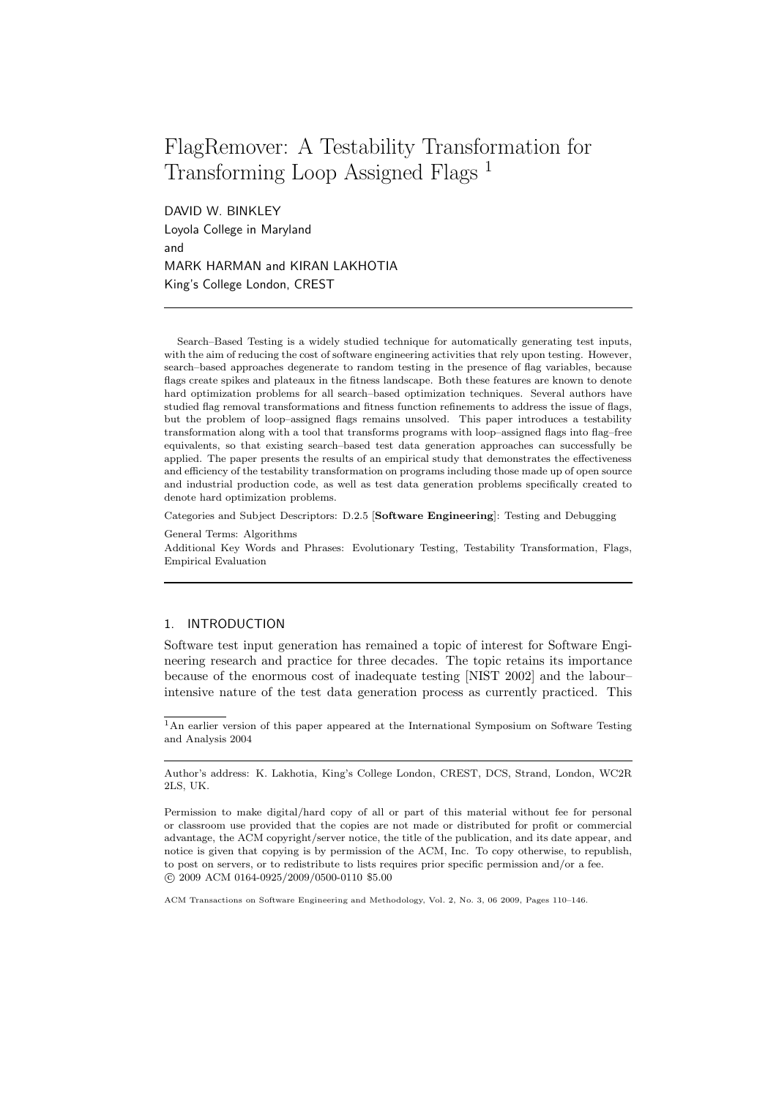# FlagRemover: A Testability Transformation for Transforming Loop Assigned Flags <sup>1</sup>

DAVID W. BINKLEY Loyola College in Maryland and MARK HARMAN and KIRAN LAKHOTIA King's College London, CREST

Search–Based Testing is a widely studied technique for automatically generating test inputs, with the aim of reducing the cost of software engineering activities that rely upon testing. However, search–based approaches degenerate to random testing in the presence of flag variables, because flags create spikes and plateaux in the fitness landscape. Both these features are known to denote hard optimization problems for all search–based optimization techniques. Several authors have studied flag removal transformations and fitness function refinements to address the issue of flags, but the problem of loop–assigned flags remains unsolved. This paper introduces a testability transformation along with a tool that transforms programs with loop–assigned flags into flag–free equivalents, so that existing search–based test data generation approaches can successfully be applied. The paper presents the results of an empirical study that demonstrates the effectiveness and efficiency of the testability transformation on programs including those made up of open source and industrial production code, as well as test data generation problems specifically created to denote hard optimization problems.

Categories and Subject Descriptors: D.2.5 [Software Engineering]: Testing and Debugging

General Terms: Algorithms

Additional Key Words and Phrases: Evolutionary Testing, Testability Transformation, Flags, Empirical Evaluation

# 1. INTRODUCTION

Software test input generation has remained a topic of interest for Software Engineering research and practice for three decades. The topic retains its importance because of the enormous cost of inadequate testing [NIST 2002] and the labour– intensive nature of the test data generation process as currently practiced. This

<sup>1</sup>An earlier version of this paper appeared at the International Symposium on Software Testing and Analysis 2004

Author's address: K. Lakhotia, King's College London, CREST, DCS, Strand, London, WC2R 2LS, UK.

Permission to make digital/hard copy of all or part of this material without fee for personal or classroom use provided that the copies are not made or distributed for profit or commercial advantage, the ACM copyright/server notice, the title of the publication, and its date appear, and notice is given that copying is by permission of the ACM, Inc. To copy otherwise, to republish, to post on servers, or to redistribute to lists requires prior specific permission and/or a fee. c 2009 ACM 0164-0925/2009/0500-0110 \$5.00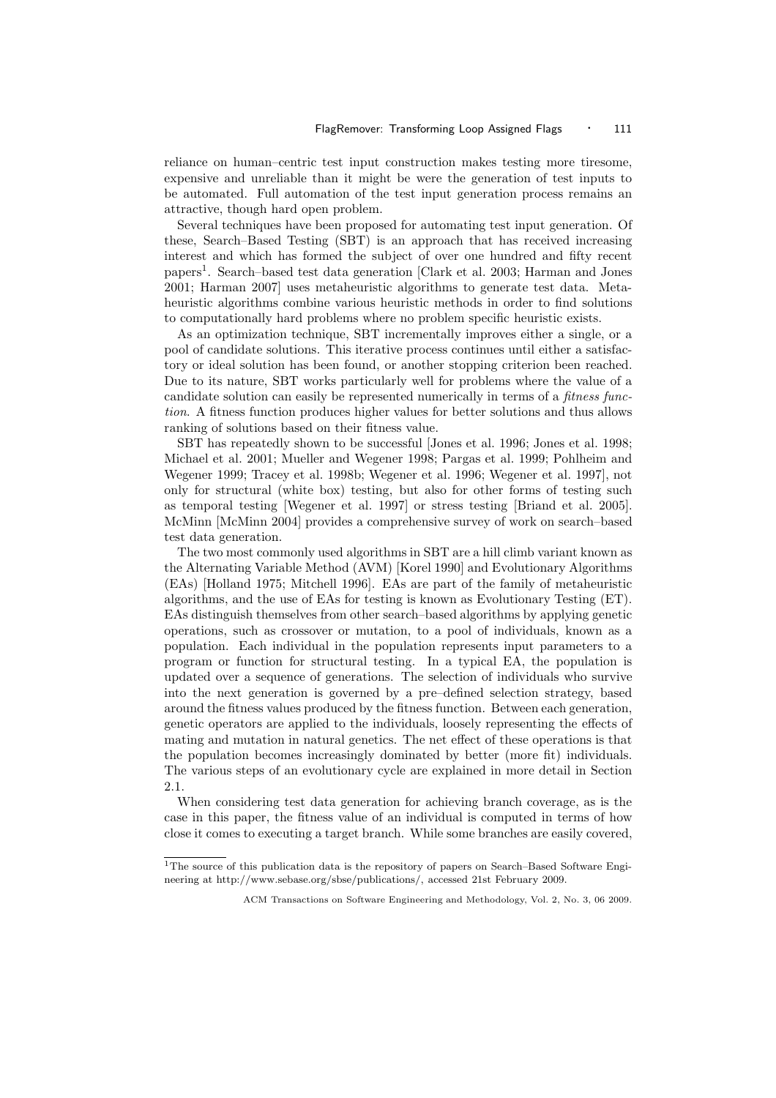reliance on human–centric test input construction makes testing more tiresome, expensive and unreliable than it might be were the generation of test inputs to be automated. Full automation of the test input generation process remains an attractive, though hard open problem.

Several techniques have been proposed for automating test input generation. Of these, Search–Based Testing (SBT) is an approach that has received increasing interest and which has formed the subject of over one hundred and fifty recent papers<sup>1</sup> . Search–based test data generation [Clark et al. 2003; Harman and Jones 2001; Harman 2007] uses metaheuristic algorithms to generate test data. Metaheuristic algorithms combine various heuristic methods in order to find solutions to computationally hard problems where no problem specific heuristic exists.

As an optimization technique, SBT incrementally improves either a single, or a pool of candidate solutions. This iterative process continues until either a satisfactory or ideal solution has been found, or another stopping criterion been reached. Due to its nature, SBT works particularly well for problems where the value of a candidate solution can easily be represented numerically in terms of a fitness function. A fitness function produces higher values for better solutions and thus allows ranking of solutions based on their fitness value.

SBT has repeatedly shown to be successful [Jones et al. 1996; Jones et al. 1998; Michael et al. 2001; Mueller and Wegener 1998; Pargas et al. 1999; Pohlheim and Wegener 1999; Tracey et al. 1998b; Wegener et al. 1996; Wegener et al. 1997], not only for structural (white box) testing, but also for other forms of testing such as temporal testing [Wegener et al. 1997] or stress testing [Briand et al. 2005]. McMinn [McMinn 2004] provides a comprehensive survey of work on search–based test data generation.

The two most commonly used algorithms in SBT are a hill climb variant known as the Alternating Variable Method (AVM) [Korel 1990] and Evolutionary Algorithms (EAs) [Holland 1975; Mitchell 1996]. EAs are part of the family of metaheuristic algorithms, and the use of EAs for testing is known as Evolutionary Testing (ET). EAs distinguish themselves from other search–based algorithms by applying genetic operations, such as crossover or mutation, to a pool of individuals, known as a population. Each individual in the population represents input parameters to a program or function for structural testing. In a typical EA, the population is updated over a sequence of generations. The selection of individuals who survive into the next generation is governed by a pre–defined selection strategy, based around the fitness values produced by the fitness function. Between each generation, genetic operators are applied to the individuals, loosely representing the effects of mating and mutation in natural genetics. The net effect of these operations is that the population becomes increasingly dominated by better (more fit) individuals. The various steps of an evolutionary cycle are explained in more detail in Section 2.1.

When considering test data generation for achieving branch coverage, as is the case in this paper, the fitness value of an individual is computed in terms of how close it comes to executing a target branch. While some branches are easily covered,

<sup>&</sup>lt;sup>1</sup>The source of this publication data is the repository of papers on Search–Based Software Engineering at http://www.sebase.org/sbse/publications/, accessed 21st February 2009.

ACM Transactions on Software Engineering and Methodology, Vol. 2, No. 3, 06 2009.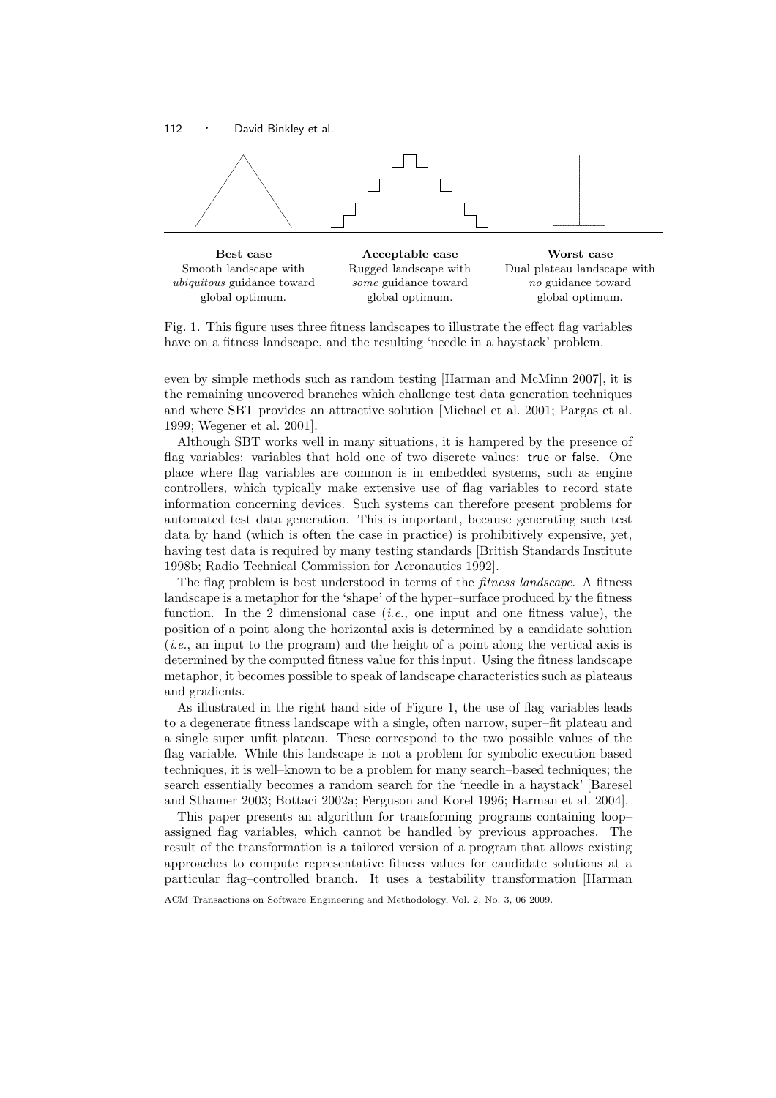

Fig. 1. This figure uses three fitness landscapes to illustrate the effect flag variables have on a fitness landscape, and the resulting 'needle in a haystack' problem.

even by simple methods such as random testing [Harman and McMinn 2007], it is the remaining uncovered branches which challenge test data generation techniques and where SBT provides an attractive solution [Michael et al. 2001; Pargas et al. 1999; Wegener et al. 2001].

Although SBT works well in many situations, it is hampered by the presence of flag variables: variables that hold one of two discrete values: true or false. One place where flag variables are common is in embedded systems, such as engine controllers, which typically make extensive use of flag variables to record state information concerning devices. Such systems can therefore present problems for automated test data generation. This is important, because generating such test data by hand (which is often the case in practice) is prohibitively expensive, yet, having test data is required by many testing standards [British Standards Institute 1998b; Radio Technical Commission for Aeronautics 1992].

The flag problem is best understood in terms of the fitness landscape. A fitness landscape is a metaphor for the 'shape' of the hyper–surface produced by the fitness function. In the 2 dimensional case (*i.e.*, one input and one fitness value), the position of a point along the horizontal axis is determined by a candidate solution (i.e., an input to the program) and the height of a point along the vertical axis is determined by the computed fitness value for this input. Using the fitness landscape metaphor, it becomes possible to speak of landscape characteristics such as plateaus and gradients.

As illustrated in the right hand side of Figure 1, the use of flag variables leads to a degenerate fitness landscape with a single, often narrow, super–fit plateau and a single super–unfit plateau. These correspond to the two possible values of the flag variable. While this landscape is not a problem for symbolic execution based techniques, it is well–known to be a problem for many search–based techniques; the search essentially becomes a random search for the 'needle in a haystack' [Baresel and Sthamer 2003; Bottaci 2002a; Ferguson and Korel 1996; Harman et al. 2004].

This paper presents an algorithm for transforming programs containing loop– assigned flag variables, which cannot be handled by previous approaches. The result of the transformation is a tailored version of a program that allows existing approaches to compute representative fitness values for candidate solutions at a particular flag–controlled branch. It uses a testability transformation [Harman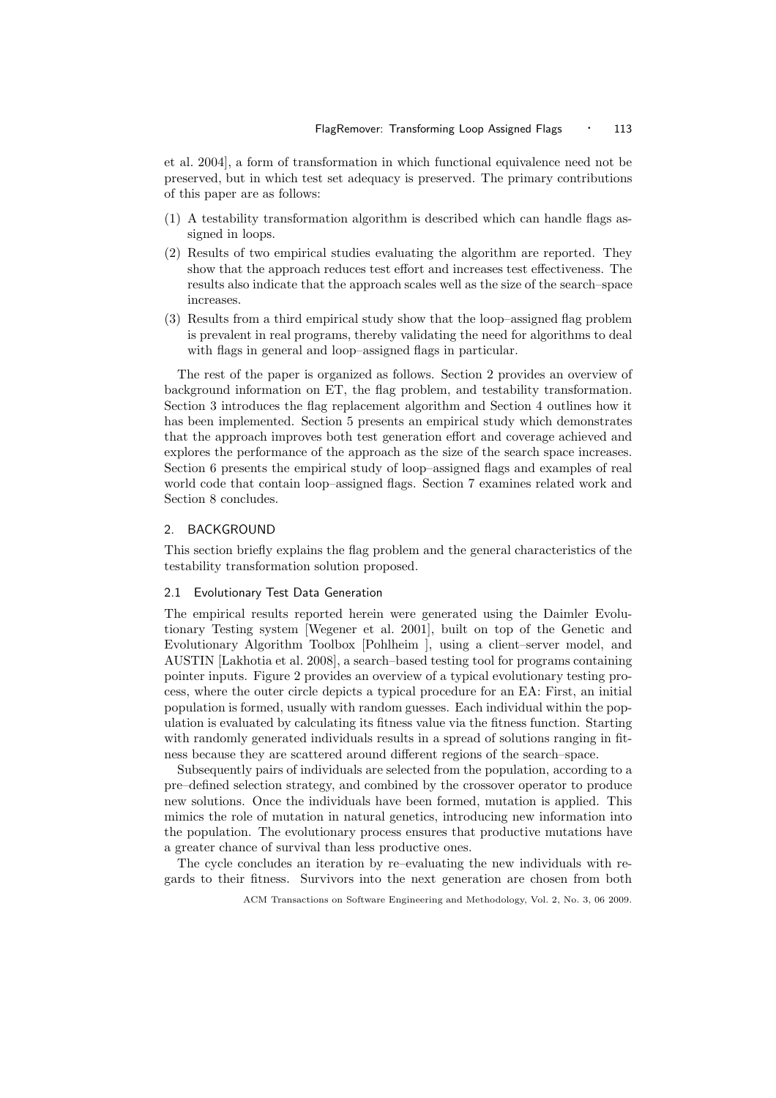et al. 2004], a form of transformation in which functional equivalence need not be preserved, but in which test set adequacy is preserved. The primary contributions of this paper are as follows:

- (1) A testability transformation algorithm is described which can handle flags assigned in loops.
- (2) Results of two empirical studies evaluating the algorithm are reported. They show that the approach reduces test effort and increases test effectiveness. The results also indicate that the approach scales well as the size of the search–space increases.
- (3) Results from a third empirical study show that the loop–assigned flag problem is prevalent in real programs, thereby validating the need for algorithms to deal with flags in general and loop–assigned flags in particular.

The rest of the paper is organized as follows. Section 2 provides an overview of background information on ET, the flag problem, and testability transformation. Section 3 introduces the flag replacement algorithm and Section 4 outlines how it has been implemented. Section 5 presents an empirical study which demonstrates that the approach improves both test generation effort and coverage achieved and explores the performance of the approach as the size of the search space increases. Section 6 presents the empirical study of loop–assigned flags and examples of real world code that contain loop–assigned flags. Section 7 examines related work and Section 8 concludes.

#### 2. BACKGROUND

This section briefly explains the flag problem and the general characteristics of the testability transformation solution proposed.

## 2.1 Evolutionary Test Data Generation

The empirical results reported herein were generated using the Daimler Evolutionary Testing system [Wegener et al. 2001], built on top of the Genetic and Evolutionary Algorithm Toolbox [Pohlheim ], using a client–server model, and AUSTIN [Lakhotia et al. 2008], a search–based testing tool for programs containing pointer inputs. Figure 2 provides an overview of a typical evolutionary testing process, where the outer circle depicts a typical procedure for an EA: First, an initial population is formed, usually with random guesses. Each individual within the population is evaluated by calculating its fitness value via the fitness function. Starting with randomly generated individuals results in a spread of solutions ranging in fitness because they are scattered around different regions of the search–space.

Subsequently pairs of individuals are selected from the population, according to a pre–defined selection strategy, and combined by the crossover operator to produce new solutions. Once the individuals have been formed, mutation is applied. This mimics the role of mutation in natural genetics, introducing new information into the population. The evolutionary process ensures that productive mutations have a greater chance of survival than less productive ones.

The cycle concludes an iteration by re–evaluating the new individuals with regards to their fitness. Survivors into the next generation are chosen from both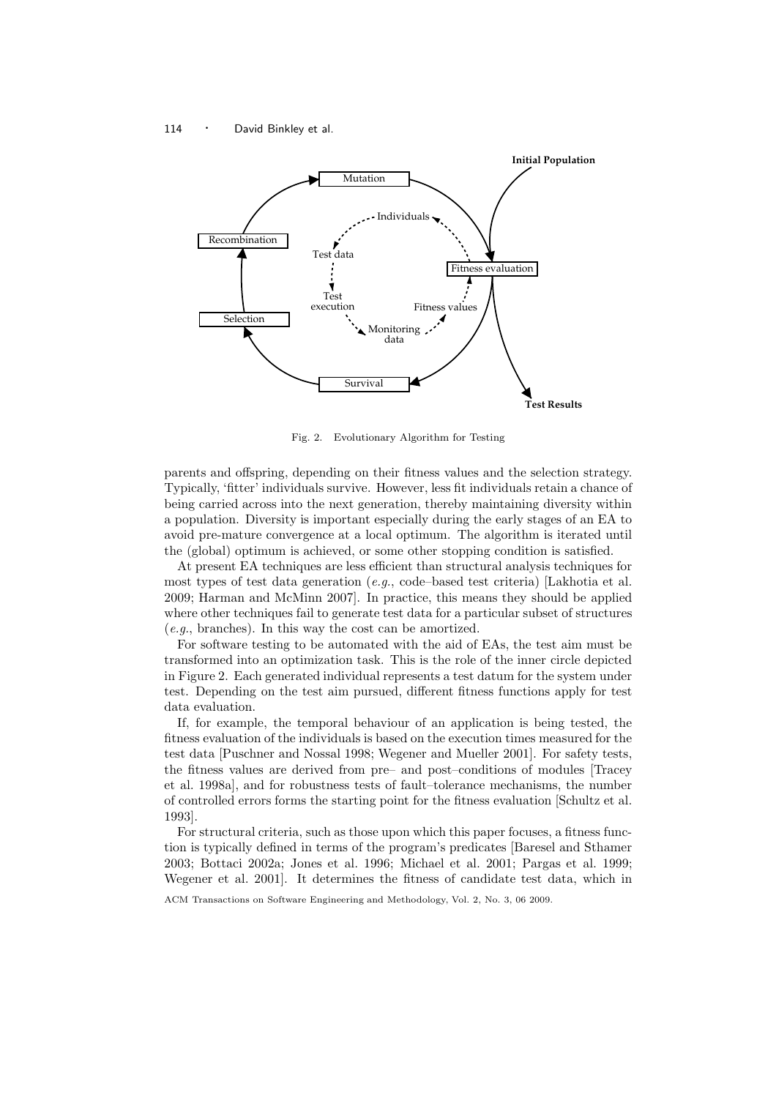

Fig. 2. Evolutionary Algorithm for Testing

parents and offspring, depending on their fitness values and the selection strategy. Typically, 'fitter' individuals survive. However, less fit individuals retain a chance of being carried across into the next generation, thereby maintaining diversity within a population. Diversity is important especially during the early stages of an EA to avoid pre-mature convergence at a local optimum. The algorithm is iterated until the (global) optimum is achieved, or some other stopping condition is satisfied.

At present EA techniques are less efficient than structural analysis techniques for most types of test data generation  $(e.g., code–based test criteria)$  [Lakhotia et al. 2009; Harman and McMinn 2007]. In practice, this means they should be applied where other techniques fail to generate test data for a particular subset of structures (e.g., branches). In this way the cost can be amortized.

For software testing to be automated with the aid of EAs, the test aim must be transformed into an optimization task. This is the role of the inner circle depicted in Figure 2. Each generated individual represents a test datum for the system under test. Depending on the test aim pursued, different fitness functions apply for test data evaluation.

If, for example, the temporal behaviour of an application is being tested, the fitness evaluation of the individuals is based on the execution times measured for the test data [Puschner and Nossal 1998; Wegener and Mueller 2001]. For safety tests, the fitness values are derived from pre– and post–conditions of modules [Tracey et al. 1998a], and for robustness tests of fault–tolerance mechanisms, the number of controlled errors forms the starting point for the fitness evaluation [Schultz et al. 1993].

For structural criteria, such as those upon which this paper focuses, a fitness function is typically defined in terms of the program's predicates [Baresel and Sthamer 2003; Bottaci 2002a; Jones et al. 1996; Michael et al. 2001; Pargas et al. 1999; Wegener et al. 2001]. It determines the fitness of candidate test data, which in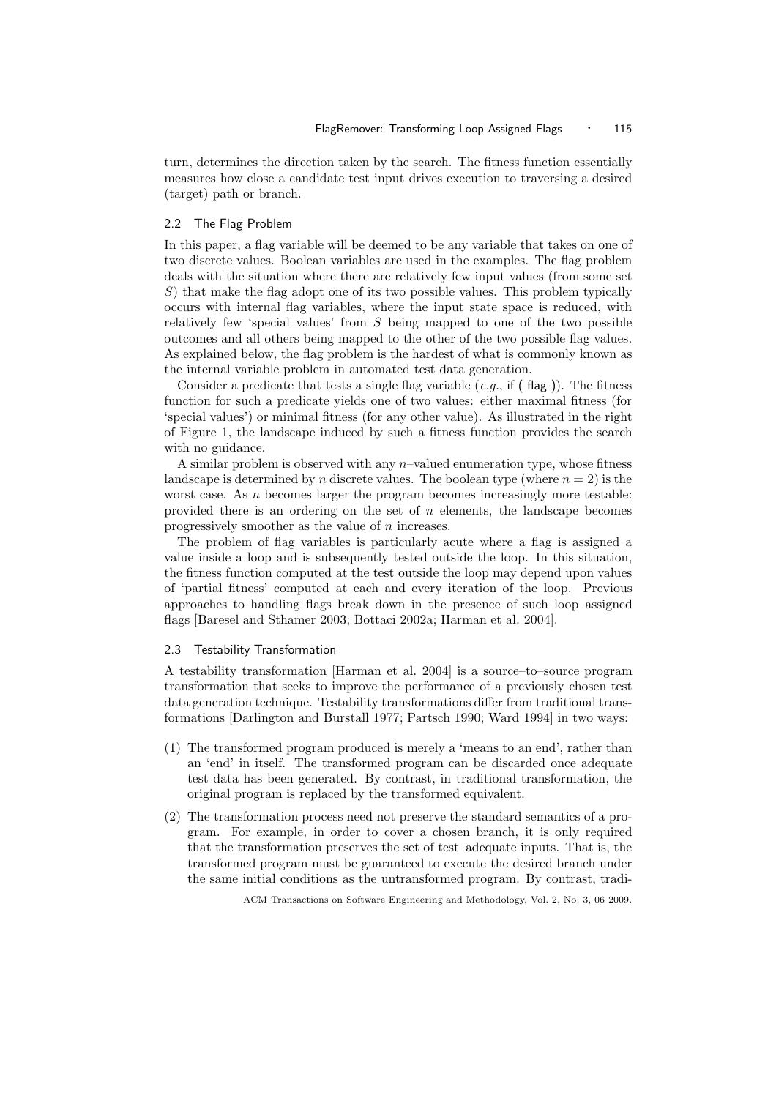turn, determines the direction taken by the search. The fitness function essentially measures how close a candidate test input drives execution to traversing a desired (target) path or branch.

# 2.2 The Flag Problem

In this paper, a flag variable will be deemed to be any variable that takes on one of two discrete values. Boolean variables are used in the examples. The flag problem deals with the situation where there are relatively few input values (from some set S) that make the flag adopt one of its two possible values. This problem typically occurs with internal flag variables, where the input state space is reduced, with relatively few 'special values' from  $S$  being mapped to one of the two possible outcomes and all others being mapped to the other of the two possible flag values. As explained below, the flag problem is the hardest of what is commonly known as the internal variable problem in automated test data generation.

Consider a predicate that tests a single flag variable  $(e.g.,$  if  $( flag )$ ). The fitness function for such a predicate yields one of two values: either maximal fitness (for 'special values') or minimal fitness (for any other value). As illustrated in the right of Figure 1, the landscape induced by such a fitness function provides the search with no guidance.

A similar problem is observed with any  $n$ -valued enumeration type, whose fitness landscape is determined by n discrete values. The boolean type (where  $n = 2$ ) is the worst case. As  $n$  becomes larger the program becomes increasingly more testable: provided there is an ordering on the set of  $n$  elements, the landscape becomes progressively smoother as the value of n increases.

The problem of flag variables is particularly acute where a flag is assigned a value inside a loop and is subsequently tested outside the loop. In this situation, the fitness function computed at the test outside the loop may depend upon values of 'partial fitness' computed at each and every iteration of the loop. Previous approaches to handling flags break down in the presence of such loop–assigned flags [Baresel and Sthamer 2003; Bottaci 2002a; Harman et al. 2004].

# 2.3 Testability Transformation

A testability transformation [Harman et al. 2004] is a source–to–source program transformation that seeks to improve the performance of a previously chosen test data generation technique. Testability transformations differ from traditional transformations [Darlington and Burstall 1977; Partsch 1990; Ward 1994] in two ways:

- (1) The transformed program produced is merely a 'means to an end', rather than an 'end' in itself. The transformed program can be discarded once adequate test data has been generated. By contrast, in traditional transformation, the original program is replaced by the transformed equivalent.
- (2) The transformation process need not preserve the standard semantics of a program. For example, in order to cover a chosen branch, it is only required that the transformation preserves the set of test–adequate inputs. That is, the transformed program must be guaranteed to execute the desired branch under the same initial conditions as the untransformed program. By contrast, tradi-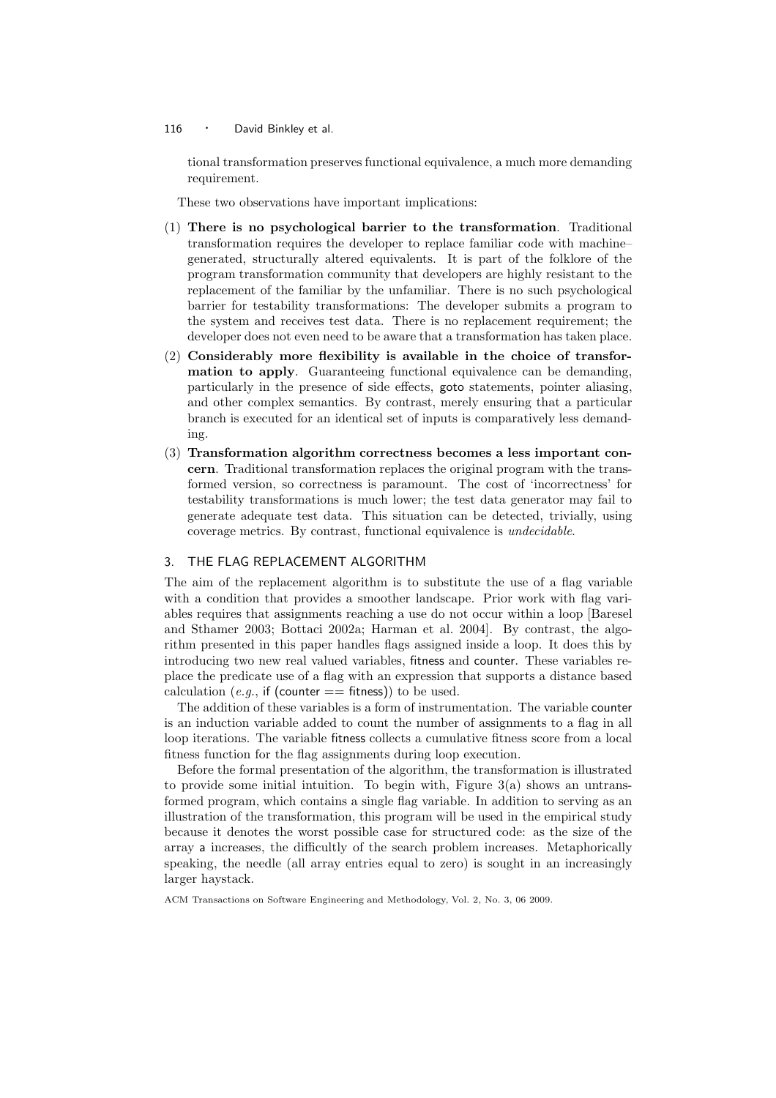tional transformation preserves functional equivalence, a much more demanding requirement.

These two observations have important implications:

- (1) There is no psychological barrier to the transformation. Traditional transformation requires the developer to replace familiar code with machine– generated, structurally altered equivalents. It is part of the folklore of the program transformation community that developers are highly resistant to the replacement of the familiar by the unfamiliar. There is no such psychological barrier for testability transformations: The developer submits a program to the system and receives test data. There is no replacement requirement; the developer does not even need to be aware that a transformation has taken place.
- (2) Considerably more flexibility is available in the choice of transformation to apply. Guaranteeing functional equivalence can be demanding, particularly in the presence of side effects, goto statements, pointer aliasing, and other complex semantics. By contrast, merely ensuring that a particular branch is executed for an identical set of inputs is comparatively less demanding.
- (3) Transformation algorithm correctness becomes a less important concern. Traditional transformation replaces the original program with the transformed version, so correctness is paramount. The cost of 'incorrectness' for testability transformations is much lower; the test data generator may fail to generate adequate test data. This situation can be detected, trivially, using coverage metrics. By contrast, functional equivalence is undecidable.

# 3. THE FLAG REPLACEMENT ALGORITHM

The aim of the replacement algorithm is to substitute the use of a flag variable with a condition that provides a smoother landscape. Prior work with flag variables requires that assignments reaching a use do not occur within a loop [Baresel and Sthamer 2003; Bottaci 2002a; Harman et al. 2004]. By contrast, the algorithm presented in this paper handles flags assigned inside a loop. It does this by introducing two new real valued variables, fitness and counter. These variables replace the predicate use of a flag with an expression that supports a distance based calculation (e.g., if (counter  $==$  fitness)) to be used.

The addition of these variables is a form of instrumentation. The variable counter is an induction variable added to count the number of assignments to a flag in all loop iterations. The variable fitness collects a cumulative fitness score from a local fitness function for the flag assignments during loop execution.

Before the formal presentation of the algorithm, the transformation is illustrated to provide some initial intuition. To begin with, Figure 3(a) shows an untransformed program, which contains a single flag variable. In addition to serving as an illustration of the transformation, this program will be used in the empirical study because it denotes the worst possible case for structured code: as the size of the array a increases, the difficultly of the search problem increases. Metaphorically speaking, the needle (all array entries equal to zero) is sought in an increasingly larger haystack.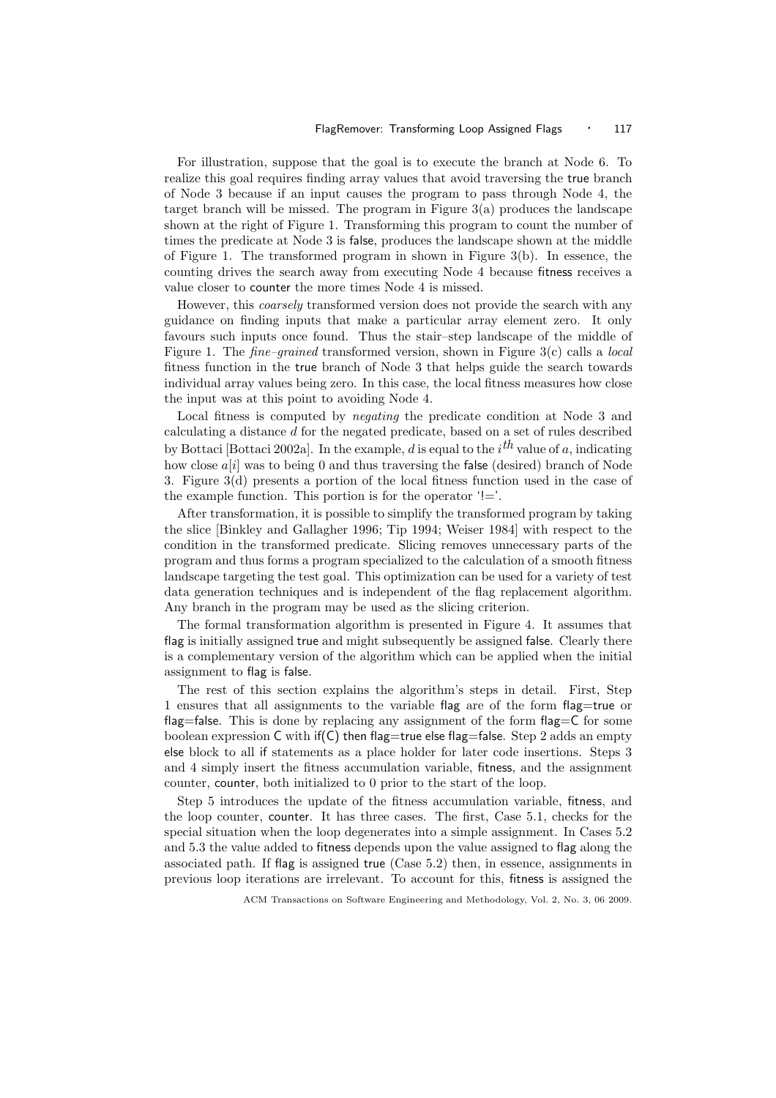For illustration, suppose that the goal is to execute the branch at Node 6. To realize this goal requires finding array values that avoid traversing the true branch of Node 3 because if an input causes the program to pass through Node 4, the target branch will be missed. The program in Figure 3(a) produces the landscape shown at the right of Figure 1. Transforming this program to count the number of times the predicate at Node 3 is false, produces the landscape shown at the middle of Figure 1. The transformed program in shown in Figure 3(b). In essence, the counting drives the search away from executing Node 4 because fitness receives a value closer to counter the more times Node 4 is missed.

However, this coarsely transformed version does not provide the search with any guidance on finding inputs that make a particular array element zero. It only favours such inputs once found. Thus the stair–step landscape of the middle of Figure 1. The *fine–grained* transformed version, shown in Figure 3(c) calls a *local* fitness function in the true branch of Node 3 that helps guide the search towards individual array values being zero. In this case, the local fitness measures how close the input was at this point to avoiding Node 4.

Local fitness is computed by *negating* the predicate condition at Node 3 and calculating a distance d for the negated predicate, based on a set of rules described by Bottaci [Bottaci 2002a]. In the example, *d* is equal to the  $i^{th}$  value of *a*, indicating how close  $a[i]$  was to being 0 and thus traversing the false (desired) branch of Node 3. Figure 3(d) presents a portion of the local fitness function used in the case of the example function. This portion is for the operator  $!=$ .

After transformation, it is possible to simplify the transformed program by taking the slice [Binkley and Gallagher 1996; Tip 1994; Weiser 1984] with respect to the condition in the transformed predicate. Slicing removes unnecessary parts of the program and thus forms a program specialized to the calculation of a smooth fitness landscape targeting the test goal. This optimization can be used for a variety of test data generation techniques and is independent of the flag replacement algorithm. Any branch in the program may be used as the slicing criterion.

The formal transformation algorithm is presented in Figure 4. It assumes that flag is initially assigned true and might subsequently be assigned false. Clearly there is a complementary version of the algorithm which can be applied when the initial assignment to flag is false.

The rest of this section explains the algorithm's steps in detail. First, Step 1 ensures that all assignments to the variable flag are of the form flag=true or flag=false. This is done by replacing any assignment of the form flag= $C$  for some boolean expression C with if(C) then flag=true else flag=false. Step 2 adds an empty else block to all if statements as a place holder for later code insertions. Steps 3 and 4 simply insert the fitness accumulation variable, fitness, and the assignment counter, counter, both initialized to 0 prior to the start of the loop.

Step 5 introduces the update of the fitness accumulation variable, fitness, and the loop counter, counter. It has three cases. The first, Case 5.1, checks for the special situation when the loop degenerates into a simple assignment. In Cases 5.2 and 5.3 the value added to fitness depends upon the value assigned to flag along the associated path. If flag is assigned true (Case 5.2) then, in essence, assignments in previous loop iterations are irrelevant. To account for this, fitness is assigned the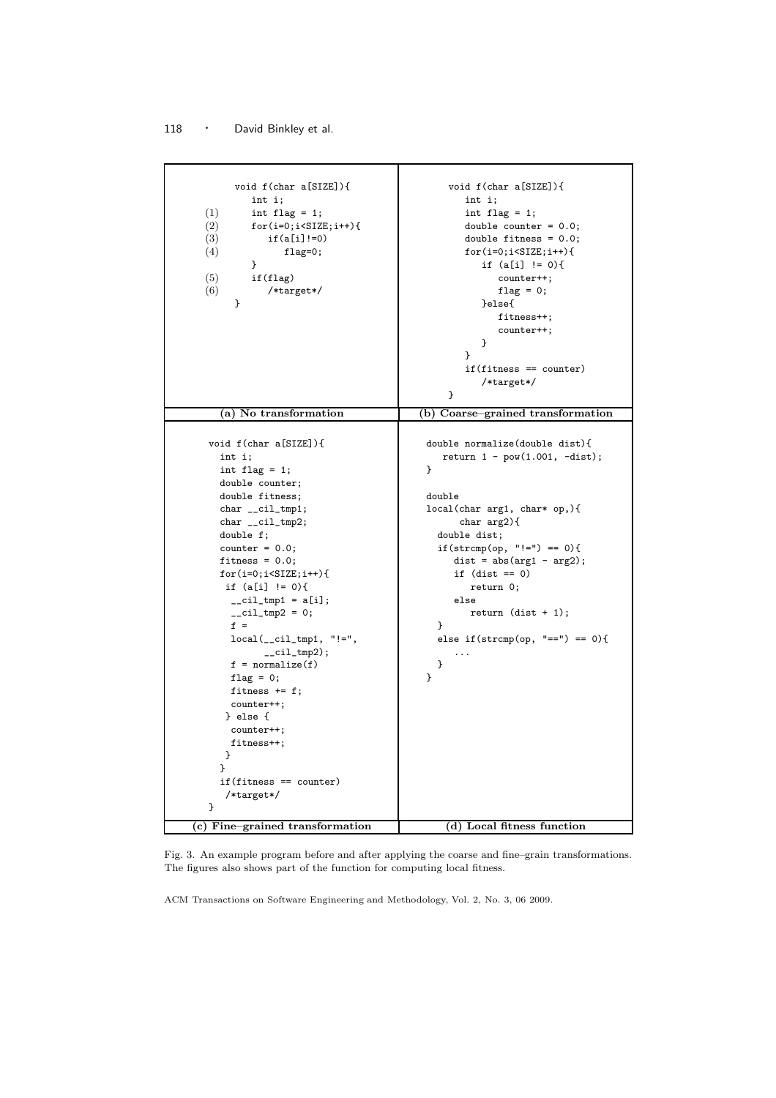| (a) No transformation<br>(b) Coarse-grained transformation<br>void f(char a[SIZE]){<br>double normalize(double dist){<br>$return 1 - pow(1.001, -dist);$<br>int i;<br>int flag = $1$ ;<br>}<br>double counter;<br>double<br>double fitness;<br>$local(char arg1, char* op,)$<br>char __cil_tmp1;<br>char __cil_tmp2;<br>char $arg2$ ) {<br>double f;<br>double dist;<br>if(strcmp(op, "!=") == 0){<br>$counter = 0.0;$<br>$dist = abs(arg1 - arg2);$<br>fitness = $0.0$ ;<br>$for(i=0; iif (dist == 0)if (a[i] != 0){return 0;\_cil\_tmp1 = a[i];elsereturn (dist + 1);\_cil\_tmp2 = 0;f =\mathcal{F}else if(strcmp(op, "==") == 0){local(\_cil\_tmp1, " !=",\text{\_cil\_tmp2};f = normalize(f)}flag = 0;}fitness += f;counter++;} else {counter++;fitness++;}}if(fitness == counter)/*target*/ł$ | void $f(char a[SIZE])$ {<br>int i;<br>(1)<br>int flag = $1$ ;<br>(2)<br>$for(i=0; iif(a[i] != 0)(3)(4)flag=0;}if(flag)(5)(6)/*target*/}$ | void $f(char a[SIZE])$ {<br>int i;<br>int flag = $1$ ;<br>double counter = $0.0$ ;<br>double fitness = $0.0$ ;<br>$for(i=0; i < SLZE; i++)$<br>if $(a[i]  = 0)$ {<br>counter++;<br>$flag = 0;$<br>}else{<br>fitness++;<br>counter++;<br>}<br>Ł<br>$if(fitness == counter)$<br>/*target*/<br>} |
|----------------------------------------------------------------------------------------------------------------------------------------------------------------------------------------------------------------------------------------------------------------------------------------------------------------------------------------------------------------------------------------------------------------------------------------------------------------------------------------------------------------------------------------------------------------------------------------------------------------------------------------------------------------------------------------------------------------------------------------------------------------------------------------------------|------------------------------------------------------------------------------------------------------------------------------------------|-----------------------------------------------------------------------------------------------------------------------------------------------------------------------------------------------------------------------------------------------------------------------------------------------|
|                                                                                                                                                                                                                                                                                                                                                                                                                                                                                                                                                                                                                                                                                                                                                                                                    |                                                                                                                                          |                                                                                                                                                                                                                                                                                               |
|                                                                                                                                                                                                                                                                                                                                                                                                                                                                                                                                                                                                                                                                                                                                                                                                    |                                                                                                                                          |                                                                                                                                                                                                                                                                                               |
|                                                                                                                                                                                                                                                                                                                                                                                                                                                                                                                                                                                                                                                                                                                                                                                                    |                                                                                                                                          |                                                                                                                                                                                                                                                                                               |
|                                                                                                                                                                                                                                                                                                                                                                                                                                                                                                                                                                                                                                                                                                                                                                                                    | (c) Fine-grained transformation                                                                                                          | (d) Local fitness function                                                                                                                                                                                                                                                                    |

Fig. 3. An example program before and after applying the coarse and fine–grain transformations. The figures also shows part of the function for computing local fitness.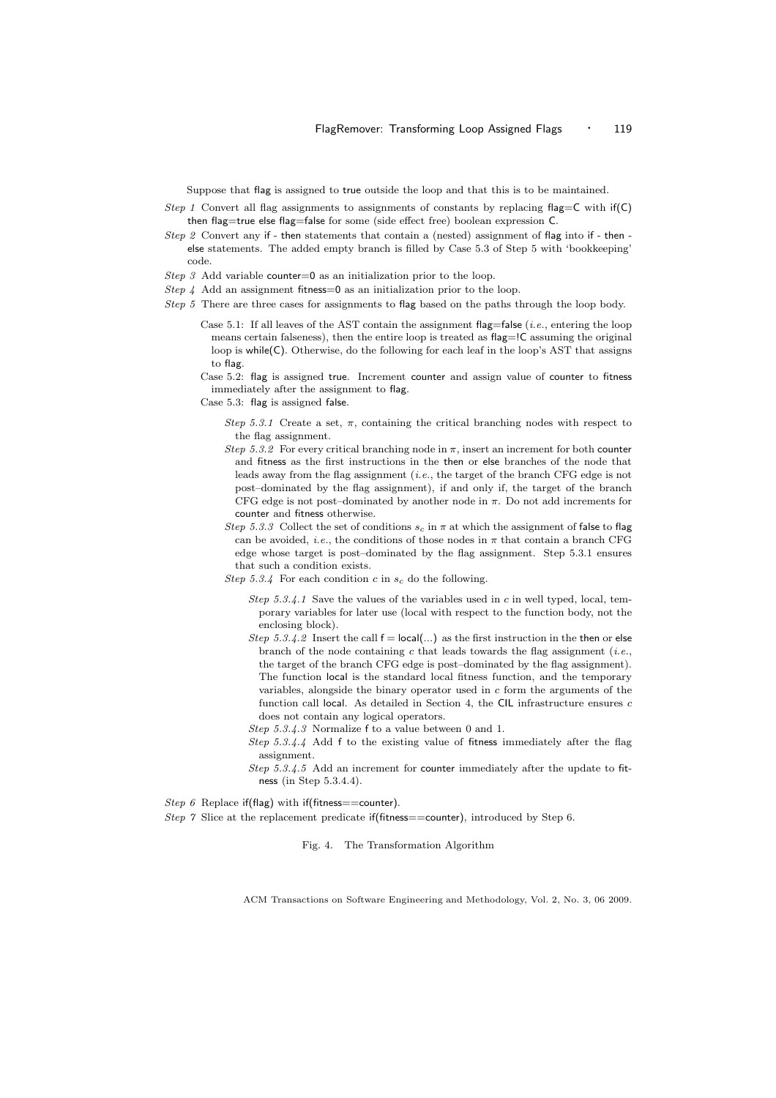Suppose that flag is assigned to true outside the loop and that this is to be maintained.

- *Step 1* Convert all flag assignments to assignments of constants by replacing flag=C with if(C) then flag=true else flag=false for some (side effect free) boolean expression C.
- *Step 2* Convert any if then statements that contain a (nested) assignment of flag into if then else statements. The added empty branch is filled by Case 5.3 of Step 5 with 'bookkeeping' code.
- *Step 3* Add variable counter=0 as an initialization prior to the loop.
- *Step 4* Add an assignment fitness=0 as an initialization prior to the loop.
- *Step 5* There are three cases for assignments to flag based on the paths through the loop body.
	- Case 5.1: If all leaves of the AST contain the assignment flag=false (*i.e.*, entering the loop means certain falseness), then the entire loop is treated as flag=!C assuming the original loop is while(C). Otherwise, do the following for each leaf in the loop's AST that assigns to flag.
	- Case 5.2: flag is assigned true. Increment counter and assign value of counter to fitness immediately after the assignment to flag.
	- Case 5.3: flag is assigned false.
		- *Step 5.3.1* Create a set,  $\pi$ , containing the critical branching nodes with respect to the flag assignment.
		- *Step 5.3.2* For every critical branching node in  $\pi$ , insert an increment for both counter and fitness as the first instructions in the then or else branches of the node that leads away from the flag assignment (*i.e.*, the target of the branch CFG edge is not post–dominated by the flag assignment), if and only if, the target of the branch CFG edge is not post-dominated by another node in  $\pi$ . Do not add increments for counter and fitness otherwise.
		- *Step 5.3.3* Collect the set of conditions  $s_c$  in  $\pi$  at which the assignment of false to flag can be avoided, *i.e.*, the conditions of those nodes in  $\pi$  that contain a branch CFG edge whose target is post–dominated by the flag assignment. Step 5.3.1 ensures that such a condition exists.
		- *Step 5.3.4* For each condition c in  $s_c$  do the following.
			- *Step 5.3.4.1* Save the values of the variables used in c in well typed, local, temporary variables for later use (local with respect to the function body, not the enclosing block).
			- *Step 5.3.4.2* Insert the call  $f = local(...)$  as the first instruction in the then or else branch of the node containing c that leads towards the flag assignment (*i.e.*, the target of the branch CFG edge is post–dominated by the flag assignment). The function local is the standard local fitness function, and the temporary variables, alongside the binary operator used in  $c$  form the arguments of the function call local. As detailed in Section 4, the CIL infrastructure ensures  $c$ does not contain any logical operators.
			- *Step 5.3.4.3* Normalize f to a value between 0 and 1.
			- *Step 5.3.4.4* Add f to the existing value of fitness immediately after the flag assignment.
			- *Step 5.3.4.5* Add an increment for counter immediately after the update to fitness (in Step 5.3.4.4).

*Step 6* Replace if(flag) with if(fitness==counter).

*Step 7* Slice at the replacement predicate if (fitness = counter), introduced by Step 6.

Fig. 4. The Transformation Algorithm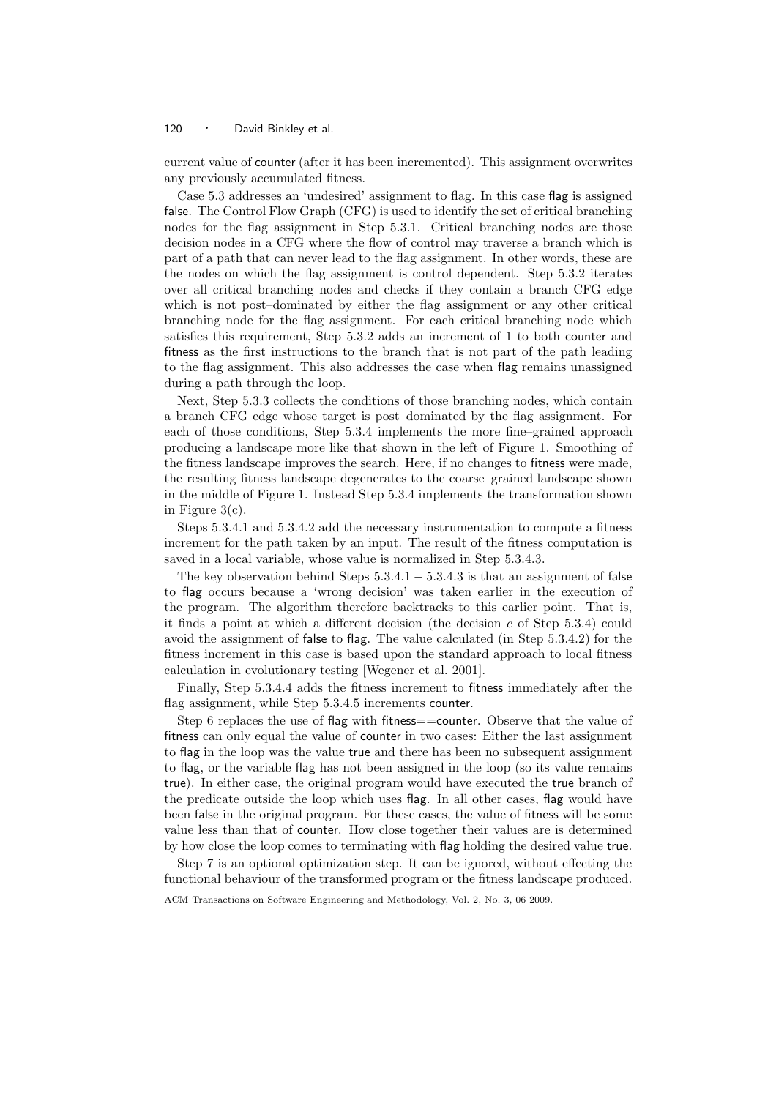current value of counter (after it has been incremented). This assignment overwrites any previously accumulated fitness.

Case 5.3 addresses an 'undesired' assignment to flag. In this case flag is assigned false. The Control Flow Graph (CFG) is used to identify the set of critical branching nodes for the flag assignment in Step 5.3.1. Critical branching nodes are those decision nodes in a CFG where the flow of control may traverse a branch which is part of a path that can never lead to the flag assignment. In other words, these are the nodes on which the flag assignment is control dependent. Step 5.3.2 iterates over all critical branching nodes and checks if they contain a branch CFG edge which is not post–dominated by either the flag assignment or any other critical branching node for the flag assignment. For each critical branching node which satisfies this requirement, Step 5.3.2 adds an increment of 1 to both counter and fitness as the first instructions to the branch that is not part of the path leading to the flag assignment. This also addresses the case when flag remains unassigned during a path through the loop.

Next, Step 5.3.3 collects the conditions of those branching nodes, which contain a branch CFG edge whose target is post–dominated by the flag assignment. For each of those conditions, Step 5.3.4 implements the more fine–grained approach producing a landscape more like that shown in the left of Figure 1. Smoothing of the fitness landscape improves the search. Here, if no changes to fitness were made, the resulting fitness landscape degenerates to the coarse–grained landscape shown in the middle of Figure 1. Instead Step 5.3.4 implements the transformation shown in Figure 3(c).

Steps 5.3.4.1 and 5.3.4.2 add the necessary instrumentation to compute a fitness increment for the path taken by an input. The result of the fitness computation is saved in a local variable, whose value is normalized in Step 5.3.4.3.

The key observation behind Steps  $5.3.4.1 - 5.3.4.3$  is that an assignment of false to flag occurs because a 'wrong decision' was taken earlier in the execution of the program. The algorithm therefore backtracks to this earlier point. That is, it finds a point at which a different decision (the decision  $c$  of Step 5.3.4) could avoid the assignment of false to flag. The value calculated (in Step 5.3.4.2) for the fitness increment in this case is based upon the standard approach to local fitness calculation in evolutionary testing [Wegener et al. 2001].

Finally, Step 5.3.4.4 adds the fitness increment to fitness immediately after the flag assignment, while Step 5.3.4.5 increments counter.

Step 6 replaces the use of flag with fitness==counter. Observe that the value of fitness can only equal the value of counter in two cases: Either the last assignment to flag in the loop was the value true and there has been no subsequent assignment to flag, or the variable flag has not been assigned in the loop (so its value remains true). In either case, the original program would have executed the true branch of the predicate outside the loop which uses flag. In all other cases, flag would have been false in the original program. For these cases, the value of fitness will be some value less than that of counter. How close together their values are is determined by how close the loop comes to terminating with flag holding the desired value true.

Step 7 is an optional optimization step. It can be ignored, without effecting the functional behaviour of the transformed program or the fitness landscape produced.

ACM Transactions on Software Engineering and Methodology, Vol. 2, No. 3, 06 2009.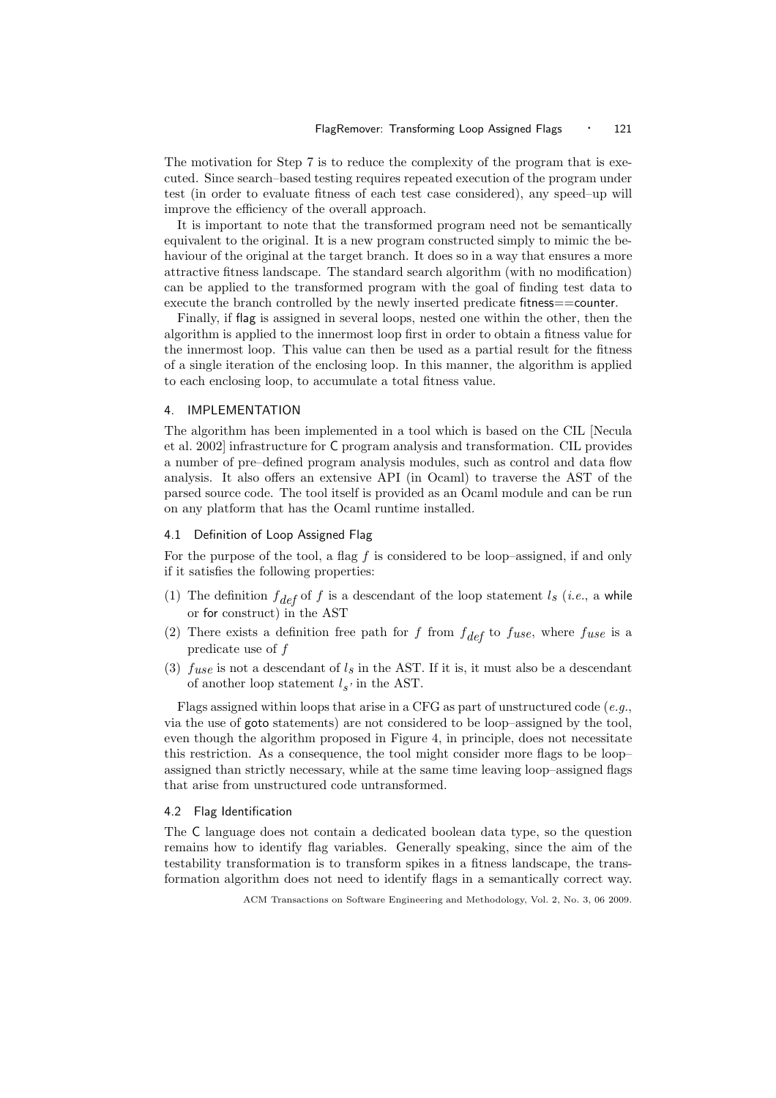The motivation for Step 7 is to reduce the complexity of the program that is executed. Since search–based testing requires repeated execution of the program under test (in order to evaluate fitness of each test case considered), any speed–up will improve the efficiency of the overall approach.

It is important to note that the transformed program need not be semantically equivalent to the original. It is a new program constructed simply to mimic the behaviour of the original at the target branch. It does so in a way that ensures a more attractive fitness landscape. The standard search algorithm (with no modification) can be applied to the transformed program with the goal of finding test data to execute the branch controlled by the newly inserted predicate fitness==counter.

Finally, if flag is assigned in several loops, nested one within the other, then the algorithm is applied to the innermost loop first in order to obtain a fitness value for the innermost loop. This value can then be used as a partial result for the fitness of a single iteration of the enclosing loop. In this manner, the algorithm is applied to each enclosing loop, to accumulate a total fitness value.

#### 4. IMPLEMENTATION

The algorithm has been implemented in a tool which is based on the CIL [Necula et al. 2002] infrastructure for C program analysis and transformation. CIL provides a number of pre–defined program analysis modules, such as control and data flow analysis. It also offers an extensive API (in Ocaml) to traverse the AST of the parsed source code. The tool itself is provided as an Ocaml module and can be run on any platform that has the Ocaml runtime installed.

#### 4.1 Definition of Loop Assigned Flag

For the purpose of the tool, a flag f is considered to be loop–assigned, if and only if it satisfies the following properties:

- (1) The definition  $f_{def}$  of f is a descendant of the loop statement  $l_s$  (i.e., a while or for construct) in the AST
- (2) There exists a definition free path for f from  $f_{def}$  to  $f_{use}$ , where  $f_{use}$  is a predicate use of f
- (3)  $f_{use}$  is not a descendant of  $l_s$  in the AST. If it is, it must also be a descendant of another loop statement  $l_{s}$  in the AST.

Flags assigned within loops that arise in a CFG as part of unstructured code  $(e.g.,$ via the use of goto statements) are not considered to be loop–assigned by the tool, even though the algorithm proposed in Figure 4, in principle, does not necessitate this restriction. As a consequence, the tool might consider more flags to be loop– assigned than strictly necessary, while at the same time leaving loop–assigned flags that arise from unstructured code untransformed.

## 4.2 Flag Identification

The C language does not contain a dedicated boolean data type, so the question remains how to identify flag variables. Generally speaking, since the aim of the testability transformation is to transform spikes in a fitness landscape, the transformation algorithm does not need to identify flags in a semantically correct way.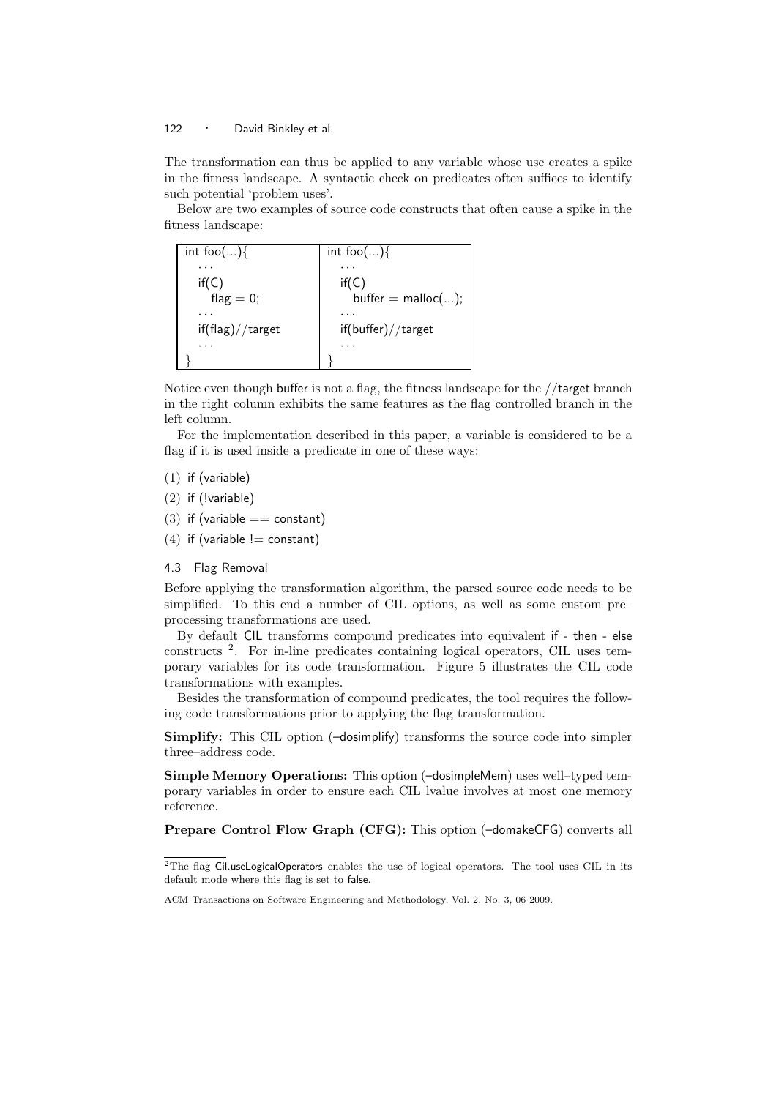The transformation can thus be applied to any variable whose use creates a spike in the fitness landscape. A syntactic check on predicates often suffices to identify such potential 'problem uses'.

Below are two examples of source code constructs that often cause a spike in the fitness landscape:

| int foo() $\{$            | int foo $()$ {       |
|---------------------------|----------------------|
|                           |                      |
| if(C)                     | if(C)                |
| flag $= 0$ ;              | $buffer = malloc();$ |
|                           |                      |
| $if flag)/\text{/target}$ | if(buffer)//target   |
|                           |                      |
|                           |                      |

Notice even though buffer is not a flag, the fitness landscape for the //target branch in the right column exhibits the same features as the flag controlled branch in the left column.

For the implementation described in this paper, a variable is considered to be a flag if it is used inside a predicate in one of these ways:

- (1) if (variable)
- (2) if (!variable)
- (3) if (variable  $==$  constant)
- (4) if (variable  $!=$  constant)

# 4.3 Flag Removal

Before applying the transformation algorithm, the parsed source code needs to be simplified. To this end a number of CIL options, as well as some custom pre– processing transformations are used.

By default CIL transforms compound predicates into equivalent if - then - else constructs <sup>2</sup> . For in-line predicates containing logical operators, CIL uses temporary variables for its code transformation. Figure 5 illustrates the CIL code transformations with examples.

Besides the transformation of compound predicates, the tool requires the following code transformations prior to applying the flag transformation.

Simplify: This CIL option (-dosimplify) transforms the source code into simpler three–address code.

Simple Memory Operations: This option (–dosimpleMem) uses well–typed temporary variables in order to ensure each CIL lvalue involves at most one memory reference.

Prepare Control Flow Graph (CFG): This option (–domakeCFG) converts all

<sup>&</sup>lt;sup>2</sup>The flag Cil.useLogicalOperators enables the use of logical operators. The tool uses CIL in its default mode where this flag is set to false.

ACM Transactions on Software Engineering and Methodology, Vol. 2, No. 3, 06 2009.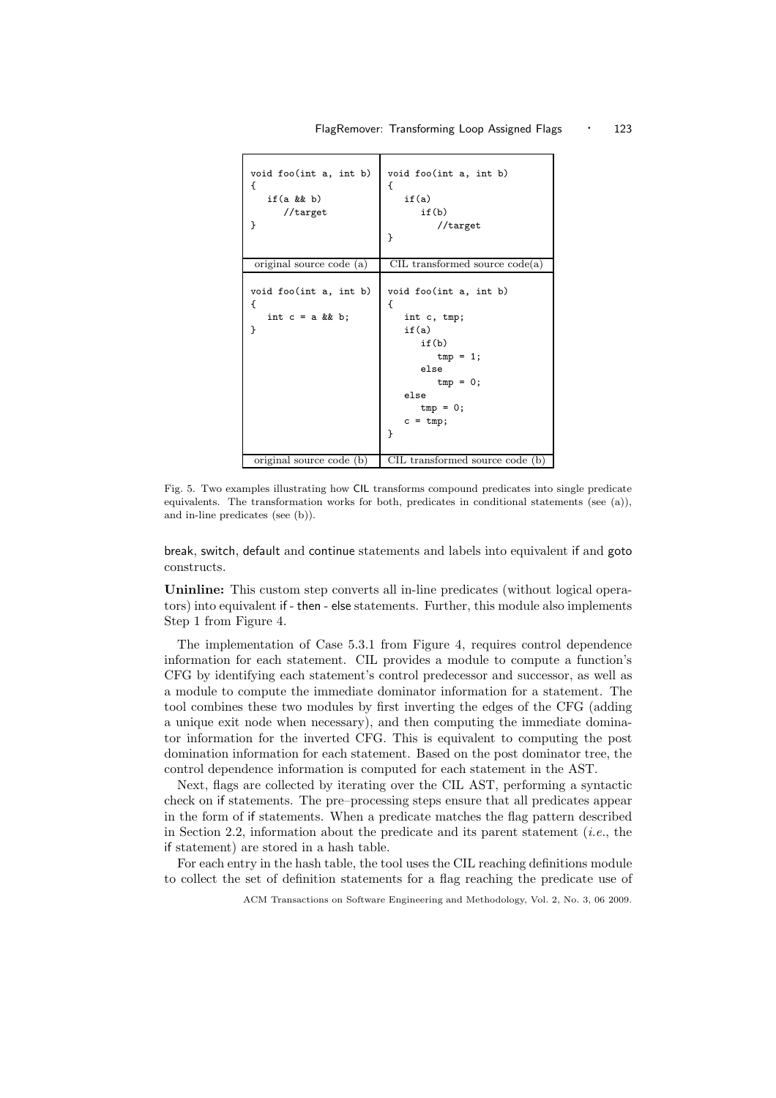| void foo(int a, int b)<br>ſ<br>$if(a \& b)$<br>//target<br>ł | void foo(int a, int b)<br>€<br>if(a)<br>if(b)<br>//target<br>ł                                                                                   |
|--------------------------------------------------------------|--------------------------------------------------------------------------------------------------------------------------------------------------|
| original source code (a)                                     | CIL transformed source $code(a)$                                                                                                                 |
| void foo(int a, int b)<br>ſ<br>int $c = a \& b;$<br>ł        | void foo(int a, int b)<br>ſ<br>int c, tmp;<br>if(a)<br>if(b)<br>$tmp = 1;$<br>else<br>$tmp = 0;$<br>else<br>$tmp = 0;$<br>$c = \text{tmp};$<br>ł |
| original source code (b)                                     | CIL transformed source code (b)                                                                                                                  |

Fig. 5. Two examples illustrating how CIL transforms compound predicates into single predicate equivalents. The transformation works for both, predicates in conditional statements (see (a)), and in-line predicates (see (b)).

break, switch, default and continue statements and labels into equivalent if and goto constructs.

Uninline: This custom step converts all in-line predicates (without logical operators) into equivalent if - then - else statements. Further, this module also implements Step 1 from Figure 4.

The implementation of Case 5.3.1 from Figure 4, requires control dependence information for each statement. CIL provides a module to compute a function's CFG by identifying each statement's control predecessor and successor, as well as a module to compute the immediate dominator information for a statement. The tool combines these two modules by first inverting the edges of the CFG (adding a unique exit node when necessary), and then computing the immediate dominator information for the inverted CFG. This is equivalent to computing the post domination information for each statement. Based on the post dominator tree, the control dependence information is computed for each statement in the AST.

Next, flags are collected by iterating over the CIL AST, performing a syntactic check on if statements. The pre–processing steps ensure that all predicates appear in the form of if statements. When a predicate matches the flag pattern described in Section 2.2, information about the predicate and its parent statement (*i.e.*, the if statement) are stored in a hash table.

For each entry in the hash table, the tool uses the CIL reaching definitions module to collect the set of definition statements for a flag reaching the predicate use of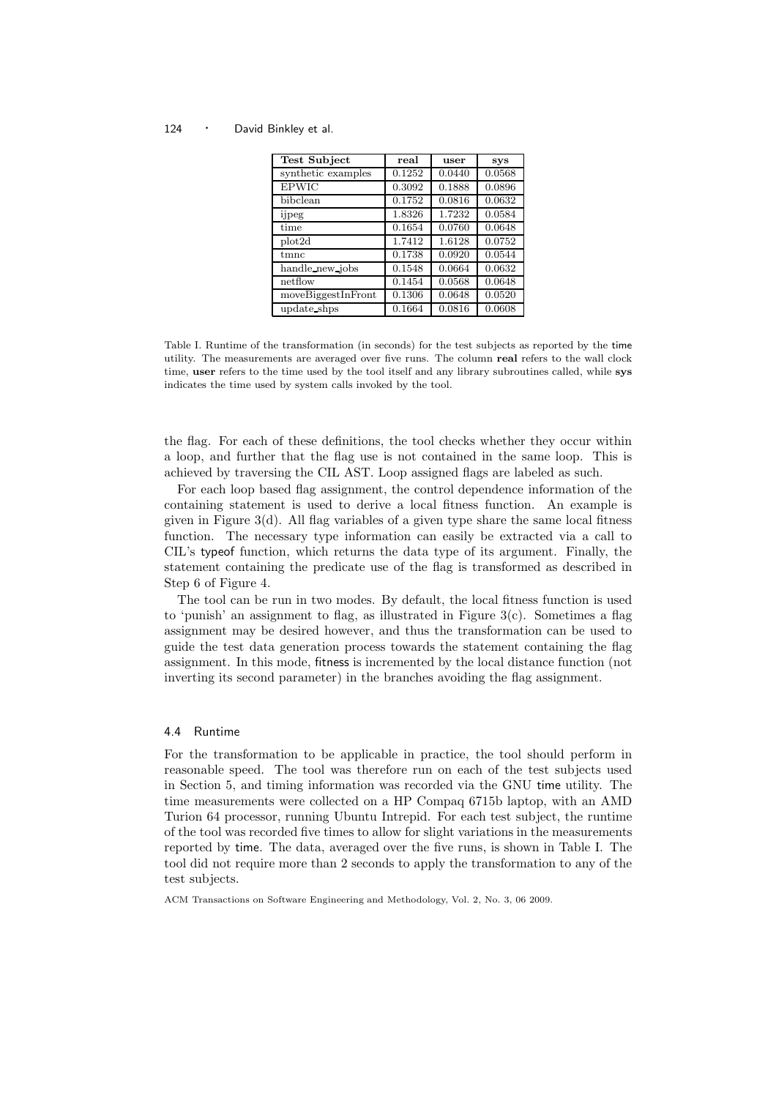| <b>Test Subject</b> | real   | user   | <b>SVS</b> |
|---------------------|--------|--------|------------|
| synthetic examples  | 0.1252 | 0.0440 | 0.0568     |
| <b>EPWIC</b>        | 0.3092 | 0.1888 | 0.0896     |
| bibclean            | 0.1752 | 0.0816 | 0.0632     |
| ijpeg               | 1.8326 | 1.7232 | 0.0584     |
| time                | 0.1654 | 0.0760 | 0.0648     |
| plot2d              | 1.7412 | 1.6128 | 0.0752     |
| tmnc                | 0.1738 | 0.0920 | 0.0544     |
| handle_new_jobs     | 0.1548 | 0.0664 | 0.0632     |
| netflow             | 0.1454 | 0.0568 | 0.0648     |
| moveBiggestInFront  | 0.1306 | 0.0648 | 0.0520     |
| update_shps         | 0.1664 | 0.0816 | 0.0608     |

Table I. Runtime of the transformation (in seconds) for the test subjects as reported by the time utility. The measurements are averaged over five runs. The column real refers to the wall clock time, user refers to the time used by the tool itself and any library subroutines called, while sys indicates the time used by system calls invoked by the tool.

the flag. For each of these definitions, the tool checks whether they occur within a loop, and further that the flag use is not contained in the same loop. This is achieved by traversing the CIL AST. Loop assigned flags are labeled as such.

For each loop based flag assignment, the control dependence information of the containing statement is used to derive a local fitness function. An example is given in Figure  $3(d)$ . All flag variables of a given type share the same local fitness function. The necessary type information can easily be extracted via a call to CIL's typeof function, which returns the data type of its argument. Finally, the statement containing the predicate use of the flag is transformed as described in Step 6 of Figure 4.

The tool can be run in two modes. By default, the local fitness function is used to 'punish' an assignment to flag, as illustrated in Figure  $3(c)$ . Sometimes a flag assignment may be desired however, and thus the transformation can be used to guide the test data generation process towards the statement containing the flag assignment. In this mode, fitness is incremented by the local distance function (not inverting its second parameter) in the branches avoiding the flag assignment.

#### 4.4 Runtime

For the transformation to be applicable in practice, the tool should perform in reasonable speed. The tool was therefore run on each of the test subjects used in Section 5, and timing information was recorded via the GNU time utility. The time measurements were collected on a HP Compaq 6715b laptop, with an AMD Turion 64 processor, running Ubuntu Intrepid. For each test subject, the runtime of the tool was recorded five times to allow for slight variations in the measurements reported by time. The data, averaged over the five runs, is shown in Table I. The tool did not require more than 2 seconds to apply the transformation to any of the test subjects.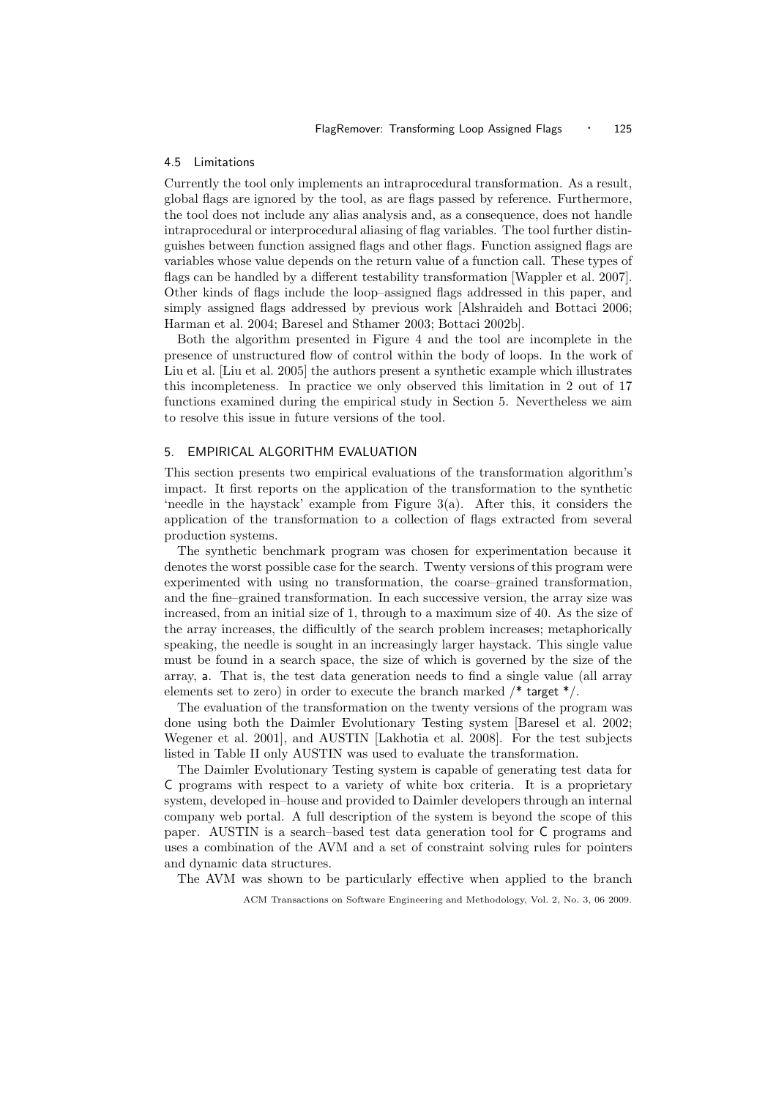# 4.5 Limitations

Currently the tool only implements an intraprocedural transformation. As a result, global flags are ignored by the tool, as are flags passed by reference. Furthermore, the tool does not include any alias analysis and, as a consequence, does not handle intraprocedural or interprocedural aliasing of flag variables. The tool further distinguishes between function assigned flags and other flags. Function assigned flags are variables whose value depends on the return value of a function call. These types of flags can be handled by a different testability transformation [Wappler et al. 2007]. Other kinds of flags include the loop–assigned flags addressed in this paper, and simply assigned flags addressed by previous work [Alshraideh and Bottaci 2006; Harman et al. 2004; Baresel and Sthamer 2003; Bottaci 2002b].

Both the algorithm presented in Figure 4 and the tool are incomplete in the presence of unstructured flow of control within the body of loops. In the work of Liu et al. [Liu et al. 2005] the authors present a synthetic example which illustrates this incompleteness. In practice we only observed this limitation in 2 out of 17 functions examined during the empirical study in Section 5. Nevertheless we aim to resolve this issue in future versions of the tool.

#### 5. EMPIRICAL ALGORITHM EVALUATION

This section presents two empirical evaluations of the transformation algorithm's impact. It first reports on the application of the transformation to the synthetic 'needle in the haystack' example from Figure 3(a). After this, it considers the application of the transformation to a collection of flags extracted from several production systems.

The synthetic benchmark program was chosen for experimentation because it denotes the worst possible case for the search. Twenty versions of this program were experimented with using no transformation, the coarse–grained transformation, and the fine–grained transformation. In each successive version, the array size was increased, from an initial size of 1, through to a maximum size of 40. As the size of the array increases, the difficultly of the search problem increases; metaphorically speaking, the needle is sought in an increasingly larger haystack. This single value must be found in a search space, the size of which is governed by the size of the array, a. That is, the test data generation needs to find a single value (all array elements set to zero) in order to execute the branch marked /\* target \*/.

The evaluation of the transformation on the twenty versions of the program was done using both the Daimler Evolutionary Testing system [Baresel et al. 2002; Wegener et al. 2001], and AUSTIN [Lakhotia et al. 2008]. For the test subjects listed in Table II only AUSTIN was used to evaluate the transformation.

The Daimler Evolutionary Testing system is capable of generating test data for C programs with respect to a variety of white box criteria. It is a proprietary system, developed in–house and provided to Daimler developers through an internal company web portal. A full description of the system is beyond the scope of this paper. AUSTIN is a search–based test data generation tool for C programs and uses a combination of the AVM and a set of constraint solving rules for pointers and dynamic data structures.

The AVM was shown to be particularly effective when applied to the branch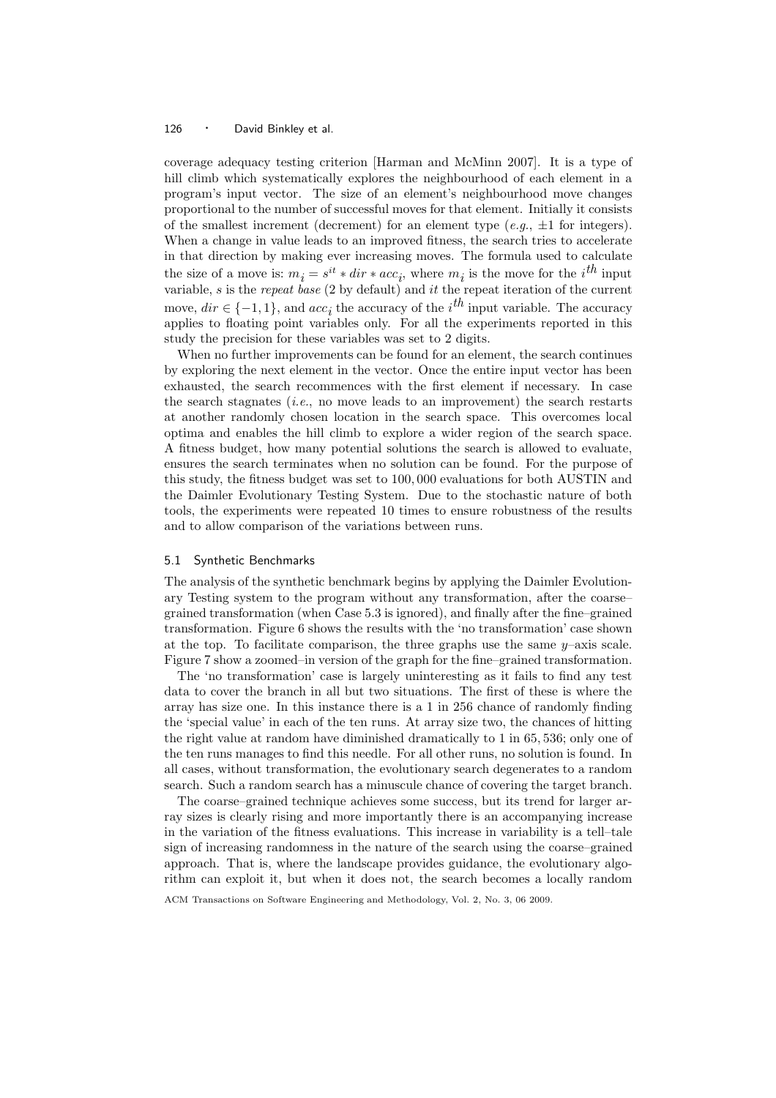coverage adequacy testing criterion [Harman and McMinn 2007]. It is a type of hill climb which systematically explores the neighbourhood of each element in a program's input vector. The size of an element's neighbourhood move changes proportional to the number of successful moves for that element. Initially it consists of the smallest increment (decrement) for an element type (e.g.,  $\pm 1$  for integers). When a change in value leads to an improved fitness, the search tries to accelerate in that direction by making ever increasing moves. The formula used to calculate the size of a move is:  $m_i = s^{it} * dir * acc_i$ , where  $m_i$  is the move for the  $i^{th}$  input variable,  $s$  is the *repeat base* (2 by default) and *it* the repeat iteration of the current move,  $dir \in \{-1, 1\}$ , and  $acc_i$  the accuracy of the  $i<sup>th</sup>$  input variable. The accuracy applies to floating point variables only. For all the experiments reported in this study the precision for these variables was set to 2 digits.

When no further improvements can be found for an element, the search continues by exploring the next element in the vector. Once the entire input vector has been exhausted, the search recommences with the first element if necessary. In case the search stagnates (*i.e.*, no move leads to an improvement) the search restarts at another randomly chosen location in the search space. This overcomes local optima and enables the hill climb to explore a wider region of the search space. A fitness budget, how many potential solutions the search is allowed to evaluate, ensures the search terminates when no solution can be found. For the purpose of this study, the fitness budget was set to 100, 000 evaluations for both AUSTIN and the Daimler Evolutionary Testing System. Due to the stochastic nature of both tools, the experiments were repeated 10 times to ensure robustness of the results and to allow comparison of the variations between runs.

## 5.1 Synthetic Benchmarks

The analysis of the synthetic benchmark begins by applying the Daimler Evolutionary Testing system to the program without any transformation, after the coarse– grained transformation (when Case 5.3 is ignored), and finally after the fine–grained transformation. Figure 6 shows the results with the 'no transformation' case shown at the top. To facilitate comparison, the three graphs use the same  $y$ –axis scale. Figure 7 show a zoomed–in version of the graph for the fine–grained transformation.

The 'no transformation' case is largely uninteresting as it fails to find any test data to cover the branch in all but two situations. The first of these is where the array has size one. In this instance there is a 1 in 256 chance of randomly finding the 'special value' in each of the ten runs. At array size two, the chances of hitting the right value at random have diminished dramatically to 1 in 65, 536; only one of the ten runs manages to find this needle. For all other runs, no solution is found. In all cases, without transformation, the evolutionary search degenerates to a random search. Such a random search has a minuscule chance of covering the target branch.

The coarse–grained technique achieves some success, but its trend for larger array sizes is clearly rising and more importantly there is an accompanying increase in the variation of the fitness evaluations. This increase in variability is a tell–tale sign of increasing randomness in the nature of the search using the coarse–grained approach. That is, where the landscape provides guidance, the evolutionary algorithm can exploit it, but when it does not, the search becomes a locally random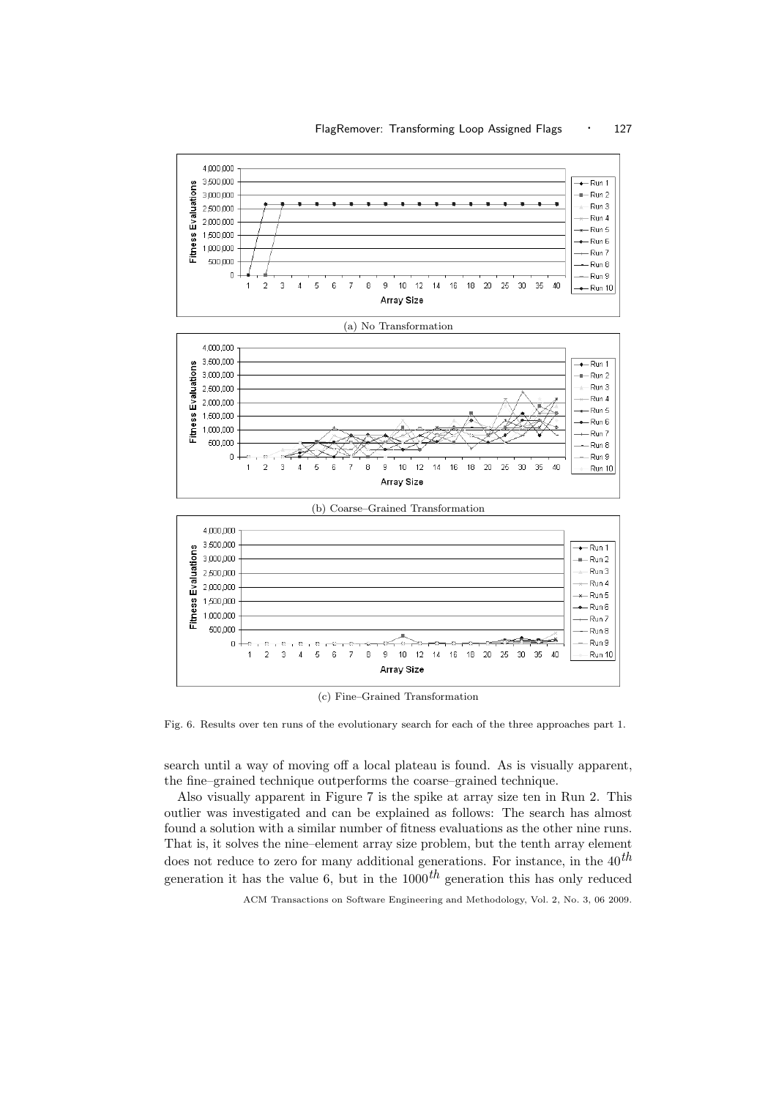

(c) Fine–Grained Transformation

Fig. 6. Results over ten runs of the evolutionary search for each of the three approaches part 1.

search until a way of moving off a local plateau is found. As is visually apparent, the fine–grained technique outperforms the coarse–grained technique.

Also visually apparent in Figure 7 is the spike at array size ten in Run 2. This outlier was investigated and can be explained as follows: The search has almost found a solution with a similar number of fitness evaluations as the other nine runs. That is, it solves the nine–element array size problem, but the tenth array element does not reduce to zero for many additional generations. For instance, in the  $40<sup>th</sup>$ generation it has the value 6, but in the  $1000$ <sup>th</sup> generation this has only reduced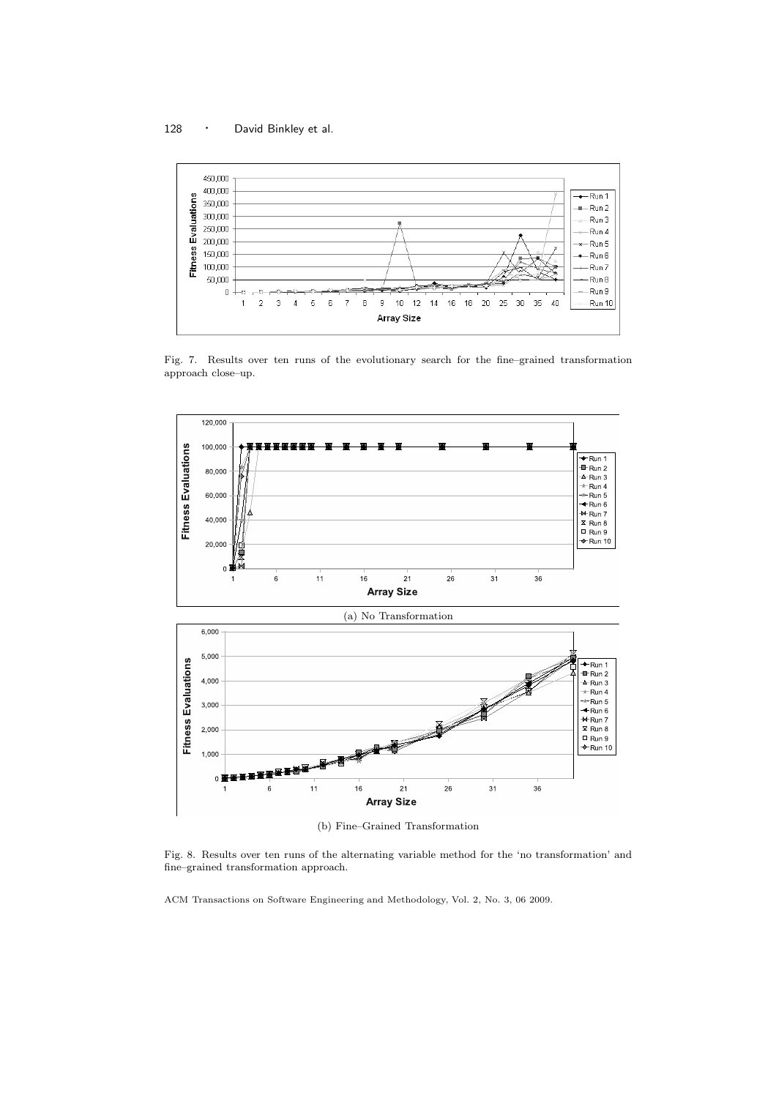![](_page_18_Figure_1.jpeg)

Fig. 7. Results over ten runs of the evolutionary search for the fine–grained transformation approach close–up.

![](_page_18_Figure_3.jpeg)

(b) Fine–Grained Transformation

Fig. 8. Results over ten runs of the alternating variable method for the 'no transformation' and fine–grained transformation approach.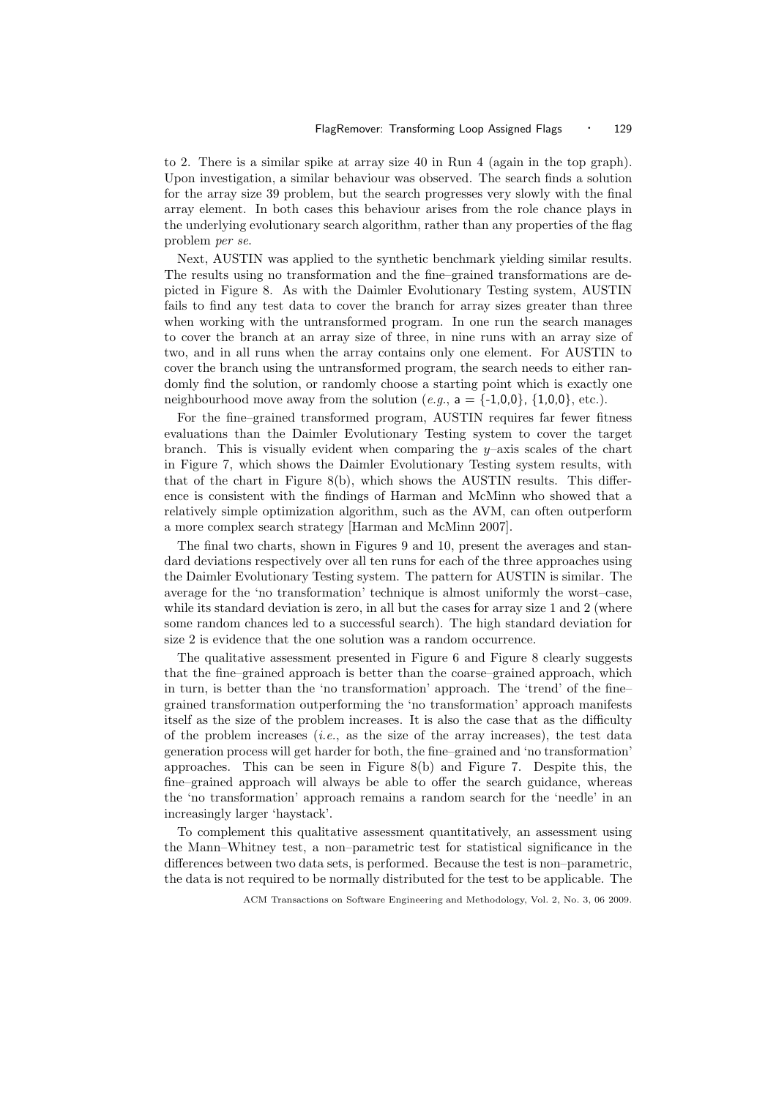to 2. There is a similar spike at array size 40 in Run 4 (again in the top graph). Upon investigation, a similar behaviour was observed. The search finds a solution for the array size 39 problem, but the search progresses very slowly with the final array element. In both cases this behaviour arises from the role chance plays in the underlying evolutionary search algorithm, rather than any properties of the flag problem per se.

Next, AUSTIN was applied to the synthetic benchmark yielding similar results. The results using no transformation and the fine–grained transformations are depicted in Figure 8. As with the Daimler Evolutionary Testing system, AUSTIN fails to find any test data to cover the branch for array sizes greater than three when working with the untransformed program. In one run the search manages to cover the branch at an array size of three, in nine runs with an array size of two, and in all runs when the array contains only one element. For AUSTIN to cover the branch using the untransformed program, the search needs to either randomly find the solution, or randomly choose a starting point which is exactly one neighbourhood move away from the solution (e.g.,  $a = \{-1,0,0\}$ ,  $\{1,0,0\}$ , etc.).

For the fine–grained transformed program, AUSTIN requires far fewer fitness evaluations than the Daimler Evolutionary Testing system to cover the target branch. This is visually evident when comparing the  $y$ –axis scales of the chart in Figure 7, which shows the Daimler Evolutionary Testing system results, with that of the chart in Figure 8(b), which shows the AUSTIN results. This difference is consistent with the findings of Harman and McMinn who showed that a relatively simple optimization algorithm, such as the AVM, can often outperform a more complex search strategy [Harman and McMinn 2007].

The final two charts, shown in Figures 9 and 10, present the averages and standard deviations respectively over all ten runs for each of the three approaches using the Daimler Evolutionary Testing system. The pattern for AUSTIN is similar. The average for the 'no transformation' technique is almost uniformly the worst–case, while its standard deviation is zero, in all but the cases for array size 1 and 2 (where some random chances led to a successful search). The high standard deviation for size 2 is evidence that the one solution was a random occurrence.

The qualitative assessment presented in Figure 6 and Figure 8 clearly suggests that the fine–grained approach is better than the coarse–grained approach, which in turn, is better than the 'no transformation' approach. The 'trend' of the fine– grained transformation outperforming the 'no transformation' approach manifests itself as the size of the problem increases. It is also the case that as the difficulty of the problem increases (*i.e.*, as the size of the array increases), the test data generation process will get harder for both, the fine–grained and 'no transformation' approaches. This can be seen in Figure 8(b) and Figure 7. Despite this, the fine–grained approach will always be able to offer the search guidance, whereas the 'no transformation' approach remains a random search for the 'needle' in an increasingly larger 'haystack'.

To complement this qualitative assessment quantitatively, an assessment using the Mann–Whitney test, a non–parametric test for statistical significance in the differences between two data sets, is performed. Because the test is non–parametric, the data is not required to be normally distributed for the test to be applicable. The

ACM Transactions on Software Engineering and Methodology, Vol. 2, No. 3, 06 2009.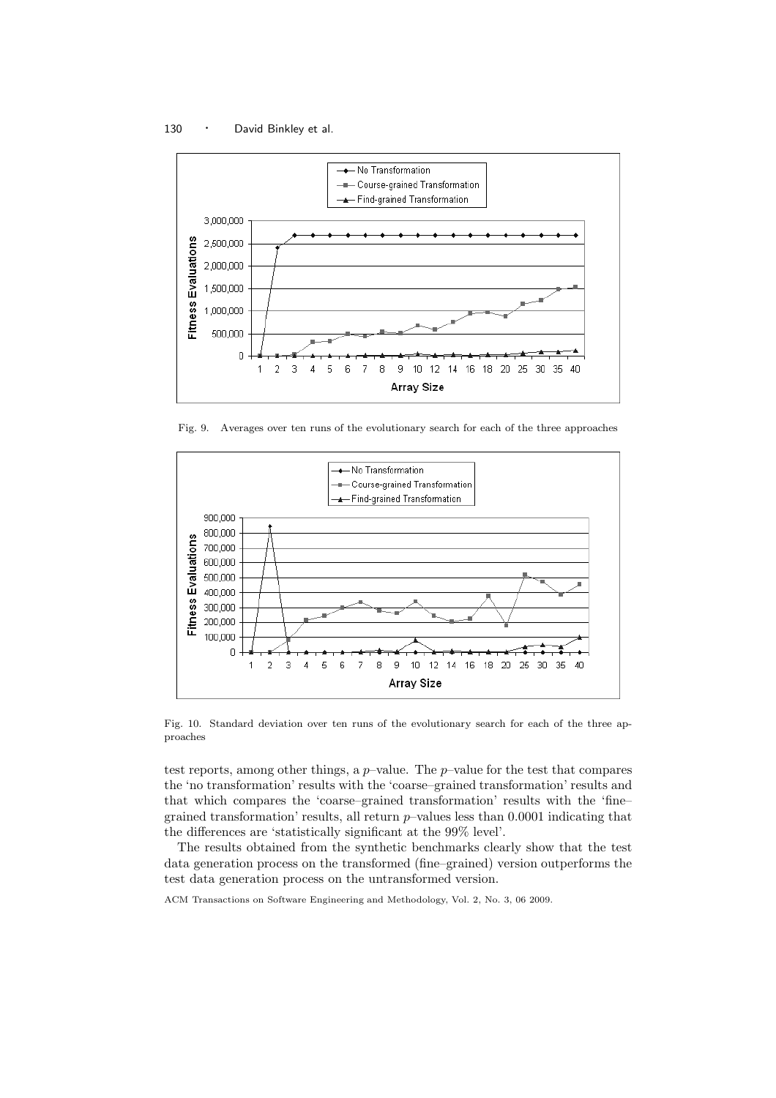![](_page_20_Figure_1.jpeg)

Fig. 9. Averages over ten runs of the evolutionary search for each of the three approaches

![](_page_20_Figure_3.jpeg)

Fig. 10. Standard deviation over ten runs of the evolutionary search for each of the three approaches

test reports, among other things, a  $p$ -value. The  $p$ -value for the test that compares the 'no transformation' results with the 'coarse–grained transformation' results and that which compares the 'coarse–grained transformation' results with the 'fine– grained transformation' results, all return  $p$ -values less than 0.0001 indicating that the differences are 'statistically significant at the 99% level'.

The results obtained from the synthetic benchmarks clearly show that the test data generation process on the transformed (fine–grained) version outperforms the test data generation process on the untransformed version.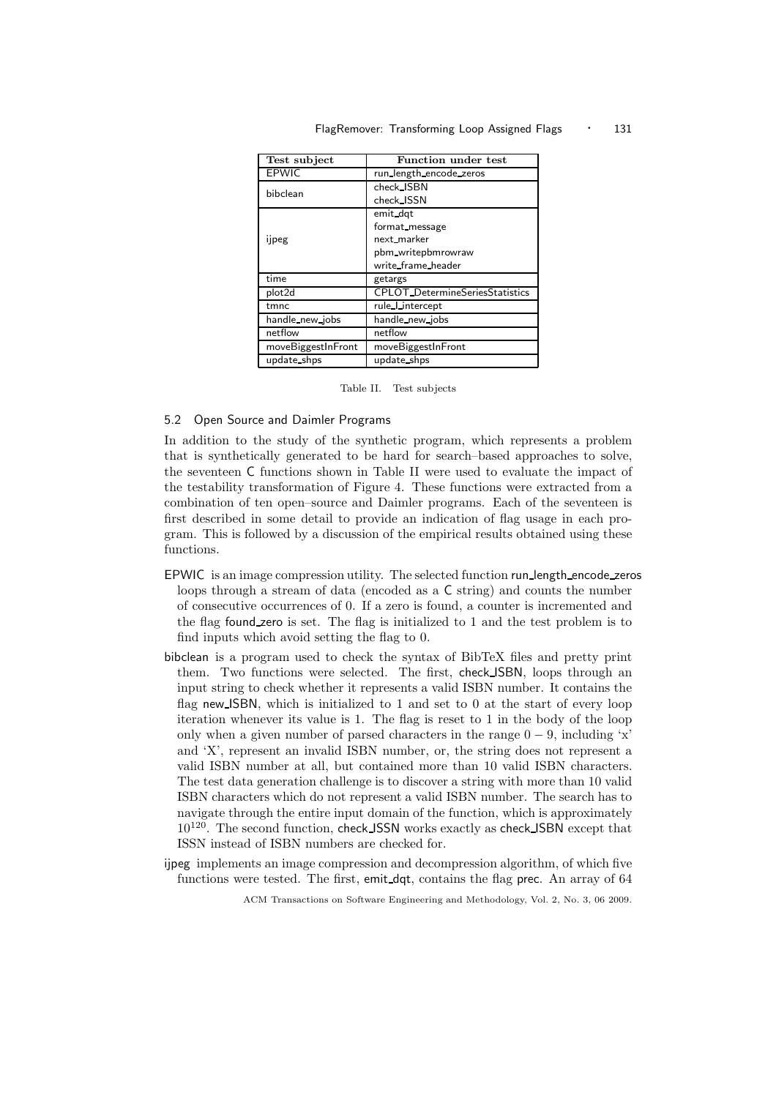| Test subject       | <b>Function under test</b>             |  |  |  |
|--------------------|----------------------------------------|--|--|--|
| EPWIC              | run_length_encode_zeros                |  |  |  |
| bibclean           | check_ISBN                             |  |  |  |
|                    | check_ISSN                             |  |  |  |
|                    | emit_dat                               |  |  |  |
|                    | format_message                         |  |  |  |
| ijpeg              | next_marker                            |  |  |  |
|                    | pbm_writepbmrowraw                     |  |  |  |
|                    | write_frame_header                     |  |  |  |
| time               | getargs                                |  |  |  |
| plot2d             | <b>CPLOT_DetermineSeriesStatistics</b> |  |  |  |
| tmnc               | rule_I_intercept                       |  |  |  |
| handle_new_jobs    | handle_new_jobs                        |  |  |  |
| netflow            | netflow                                |  |  |  |
| moveBiggestInFront | moveBiggestInFront                     |  |  |  |
| update_shps        | update_shps                            |  |  |  |

Table II. Test subjects

# 5.2 Open Source and Daimler Programs

In addition to the study of the synthetic program, which represents a problem that is synthetically generated to be hard for search–based approaches to solve, the seventeen C functions shown in Table II were used to evaluate the impact of the testability transformation of Figure 4. These functions were extracted from a combination of ten open–source and Daimler programs. Each of the seventeen is first described in some detail to provide an indication of flag usage in each program. This is followed by a discussion of the empirical results obtained using these functions.

- EPWIC is an image compression utility. The selected function run length encode zeros loops through a stream of data (encoded as a C string) and counts the number of consecutive occurrences of 0. If a zero is found, a counter is incremented and the flag found zero is set. The flag is initialized to 1 and the test problem is to find inputs which avoid setting the flag to 0.
- bibclean is a program used to check the syntax of BibTeX files and pretty print them. Two functions were selected. The first, check ISBN, loops through an input string to check whether it represents a valid ISBN number. It contains the flag new ISBN, which is initialized to 1 and set to 0 at the start of every loop iteration whenever its value is 1. The flag is reset to 1 in the body of the loop only when a given number of parsed characters in the range  $0 - 9$ , including 'x' and 'X', represent an invalid ISBN number, or, the string does not represent a valid ISBN number at all, but contained more than 10 valid ISBN characters. The test data generation challenge is to discover a string with more than 10 valid ISBN characters which do not represent a valid ISBN number. The search has to navigate through the entire input domain of the function, which is approximately  $10^{120}$ . The second function, check\_ISSN works exactly as check\_ISBN except that ISSN instead of ISBN numbers are checked for.
- ijpeg implements an image compression and decompression algorithm, of which five functions were tested. The first, emit dat, contains the flag prec. An array of 64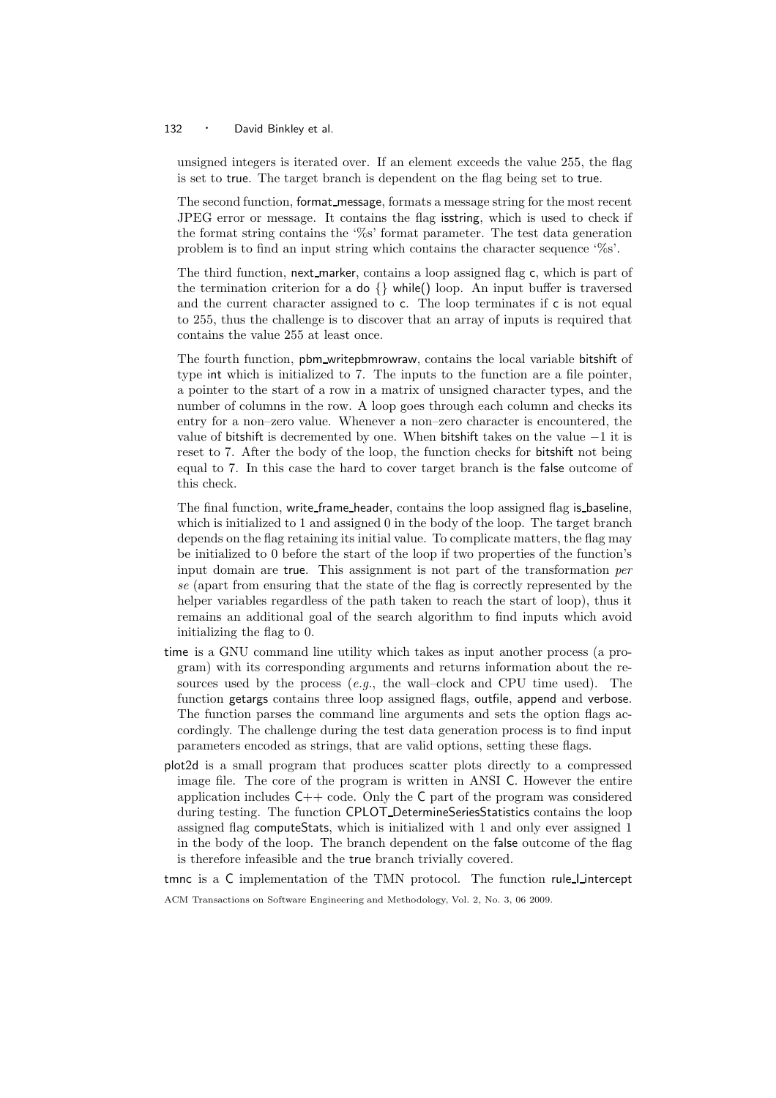unsigned integers is iterated over. If an element exceeds the value 255, the flag is set to true. The target branch is dependent on the flag being set to true.

The second function, format\_message, formats a message string for the most recent JPEG error or message. It contains the flag isstring, which is used to check if the format string contains the '%s' format parameter. The test data generation problem is to find an input string which contains the character sequence '%s'.

The third function, next\_marker, contains a loop assigned flag c, which is part of the termination criterion for a do  $\{\}\$ while() loop. An input buffer is traversed and the current character assigned to c. The loop terminates if c is not equal to 255, thus the challenge is to discover that an array of inputs is required that contains the value 255 at least once.

The fourth function, pbm writepbmrowraw, contains the local variable bitshift of type int which is initialized to 7. The inputs to the function are a file pointer, a pointer to the start of a row in a matrix of unsigned character types, and the number of columns in the row. A loop goes through each column and checks its entry for a non–zero value. Whenever a non–zero character is encountered, the value of bitshift is decremented by one. When bitshift takes on the value −1 it is reset to 7. After the body of the loop, the function checks for bitshift not being equal to 7. In this case the hard to cover target branch is the false outcome of this check.

The final function, write frame header, contains the loop assigned flag is baseline, which is initialized to 1 and assigned 0 in the body of the loop. The target branch depends on the flag retaining its initial value. To complicate matters, the flag may be initialized to 0 before the start of the loop if two properties of the function's input domain are true. This assignment is not part of the transformation per se (apart from ensuring that the state of the flag is correctly represented by the helper variables regardless of the path taken to reach the start of loop), thus it remains an additional goal of the search algorithm to find inputs which avoid initializing the flag to 0.

- time is a GNU command line utility which takes as input another process (a program) with its corresponding arguments and returns information about the resources used by the process  $(e.g., the wall–clock and CPU time used)$ . The function getargs contains three loop assigned flags, outfile, append and verbose. The function parses the command line arguments and sets the option flags accordingly. The challenge during the test data generation process is to find input parameters encoded as strings, that are valid options, setting these flags.
- plot2d is a small program that produces scatter plots directly to a compressed image file. The core of the program is written in ANSI C. However the entire application includes  $C_{++}$  code. Only the C part of the program was considered during testing. The function CPLOT DetermineSeriesStatistics contains the loop assigned flag computeStats, which is initialized with 1 and only ever assigned 1 in the body of the loop. The branch dependent on the false outcome of the flag is therefore infeasible and the true branch trivially covered.

tmnc is a C implementation of the TMN protocol. The function rule I intercept

ACM Transactions on Software Engineering and Methodology, Vol. 2, No. 3, 06 2009.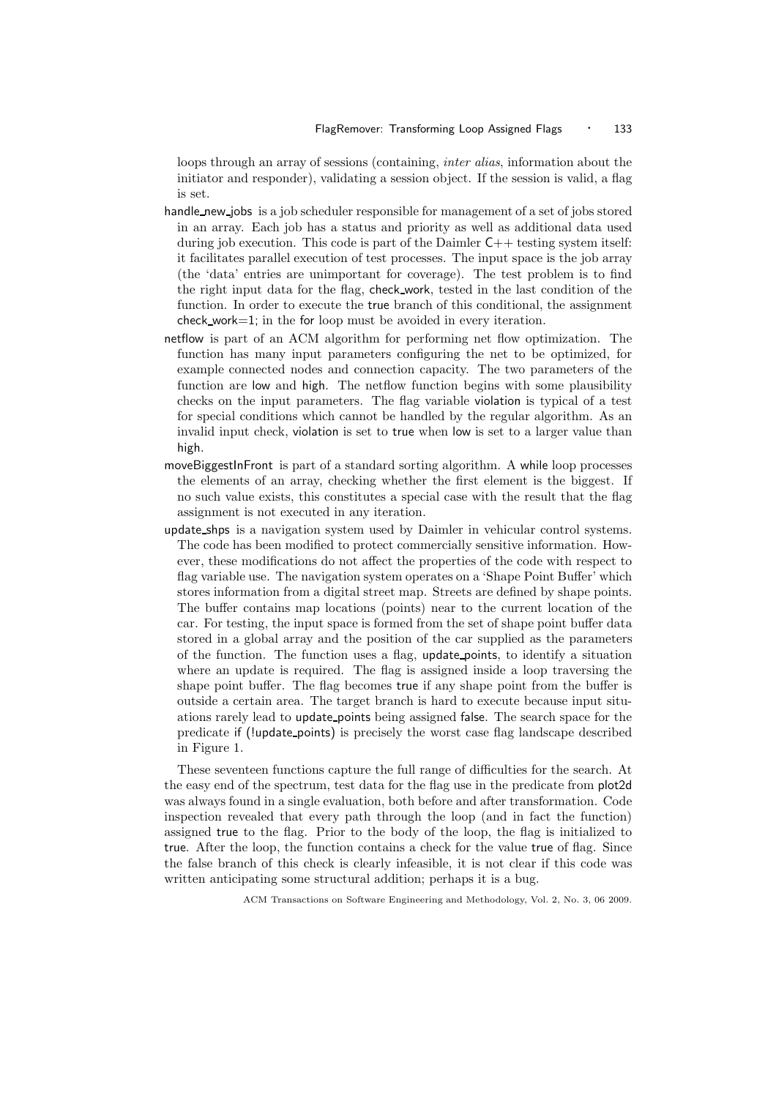loops through an array of sessions (containing, *inter alias*, information about the initiator and responder), validating a session object. If the session is valid, a flag is set.

- handle new jobs is a job scheduler responsible for management of a set of jobs stored in an array. Each job has a status and priority as well as additional data used during job execution. This code is part of the Daimler C++ testing system itself: it facilitates parallel execution of test processes. The input space is the job array (the 'data' entries are unimportant for coverage). The test problem is to find the right input data for the flag, check work, tested in the last condition of the function. In order to execute the true branch of this conditional, the assignment check work=1; in the for loop must be avoided in every iteration.
- netflow is part of an ACM algorithm for performing net flow optimization. The function has many input parameters configuring the net to be optimized, for example connected nodes and connection capacity. The two parameters of the function are low and high. The netflow function begins with some plausibility checks on the input parameters. The flag variable violation is typical of a test for special conditions which cannot be handled by the regular algorithm. As an invalid input check, violation is set to true when low is set to a larger value than high.
- moveBiggestInFront is part of a standard sorting algorithm. A while loop processes the elements of an array, checking whether the first element is the biggest. If no such value exists, this constitutes a special case with the result that the flag assignment is not executed in any iteration.
- update shps is a navigation system used by Daimler in vehicular control systems. The code has been modified to protect commercially sensitive information. However, these modifications do not affect the properties of the code with respect to flag variable use. The navigation system operates on a 'Shape Point Buffer' which stores information from a digital street map. Streets are defined by shape points. The buffer contains map locations (points) near to the current location of the car. For testing, the input space is formed from the set of shape point buffer data stored in a global array and the position of the car supplied as the parameters of the function. The function uses a flag, update points, to identify a situation where an update is required. The flag is assigned inside a loop traversing the shape point buffer. The flag becomes true if any shape point from the buffer is outside a certain area. The target branch is hard to execute because input situations rarely lead to update points being assigned false. The search space for the predicate if (!update points) is precisely the worst case flag landscape described in Figure 1.

These seventeen functions capture the full range of difficulties for the search. At the easy end of the spectrum, test data for the flag use in the predicate from plot2d was always found in a single evaluation, both before and after transformation. Code inspection revealed that every path through the loop (and in fact the function) assigned true to the flag. Prior to the body of the loop, the flag is initialized to true. After the loop, the function contains a check for the value true of flag. Since the false branch of this check is clearly infeasible, it is not clear if this code was written anticipating some structural addition; perhaps it is a bug.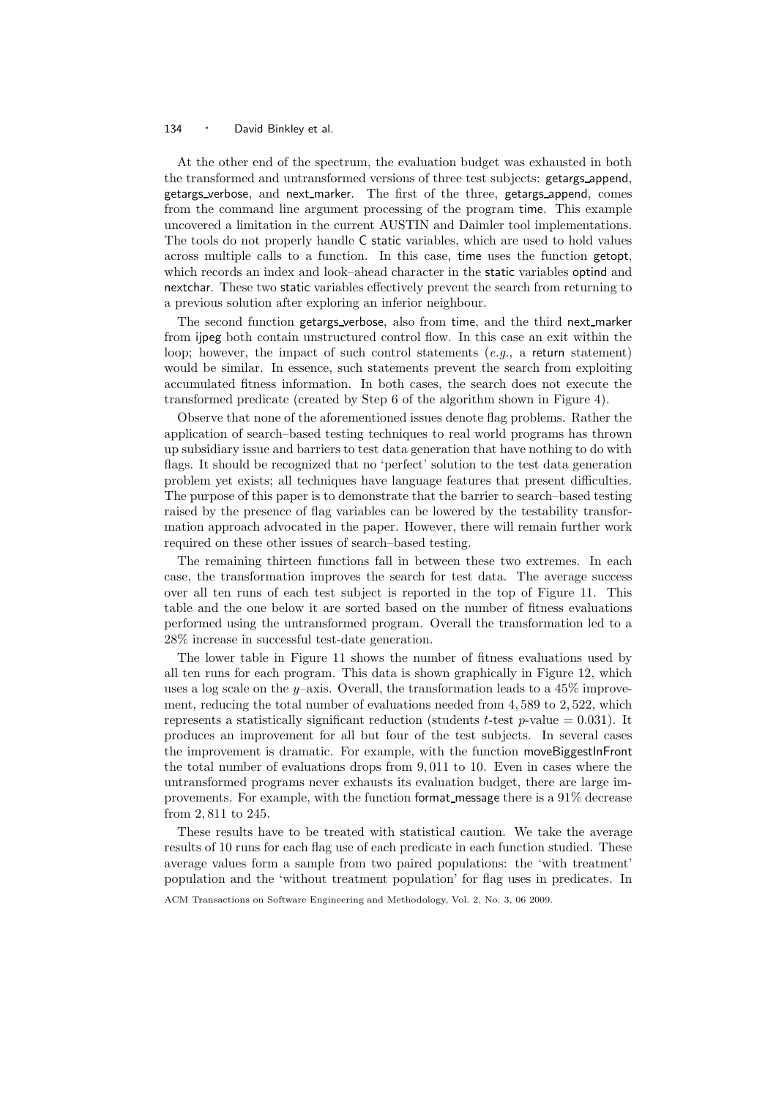At the other end of the spectrum, the evaluation budget was exhausted in both the transformed and untransformed versions of three test subjects: getargs append, getargs verbose, and next marker. The first of the three, getargs append, comes from the command line argument processing of the program time. This example uncovered a limitation in the current AUSTIN and Daimler tool implementations. The tools do not properly handle C static variables, which are used to hold values across multiple calls to a function. In this case, time uses the function getopt, which records an index and look–ahead character in the static variables optind and nextchar. These two static variables effectively prevent the search from returning to a previous solution after exploring an inferior neighbour.

The second function getargs verbose, also from time, and the third next marker from ijpeg both contain unstructured control flow. In this case an exit within the loop; however, the impact of such control statements  $(e.g., a$  return statement) would be similar. In essence, such statements prevent the search from exploiting accumulated fitness information. In both cases, the search does not execute the transformed predicate (created by Step 6 of the algorithm shown in Figure 4).

Observe that none of the aforementioned issues denote flag problems. Rather the application of search–based testing techniques to real world programs has thrown up subsidiary issue and barriers to test data generation that have nothing to do with flags. It should be recognized that no 'perfect' solution to the test data generation problem yet exists; all techniques have language features that present difficulties. The purpose of this paper is to demonstrate that the barrier to search–based testing raised by the presence of flag variables can be lowered by the testability transformation approach advocated in the paper. However, there will remain further work required on these other issues of search–based testing.

The remaining thirteen functions fall in between these two extremes. In each case, the transformation improves the search for test data. The average success over all ten runs of each test subject is reported in the top of Figure 11. This table and the one below it are sorted based on the number of fitness evaluations performed using the untransformed program. Overall the transformation led to a 28% increase in successful test-date generation.

The lower table in Figure 11 shows the number of fitness evaluations used by all ten runs for each program. This data is shown graphically in Figure 12, which uses a log scale on the  $y$ –axis. Overall, the transformation leads to a 45% improvement, reducing the total number of evaluations needed from 4, 589 to 2, 522, which represents a statistically significant reduction (students t-test  $p$ -value = 0.031). It produces an improvement for all but four of the test subjects. In several cases the improvement is dramatic. For example, with the function moveBiggestInFront the total number of evaluations drops from 9, 011 to 10. Even in cases where the untransformed programs never exhausts its evaluation budget, there are large improvements. For example, with the function format message there is a 91% decrease from 2, 811 to 245.

These results have to be treated with statistical caution. We take the average results of 10 runs for each flag use of each predicate in each function studied. These average values form a sample from two paired populations: the 'with treatment' population and the 'without treatment population' for flag uses in predicates. In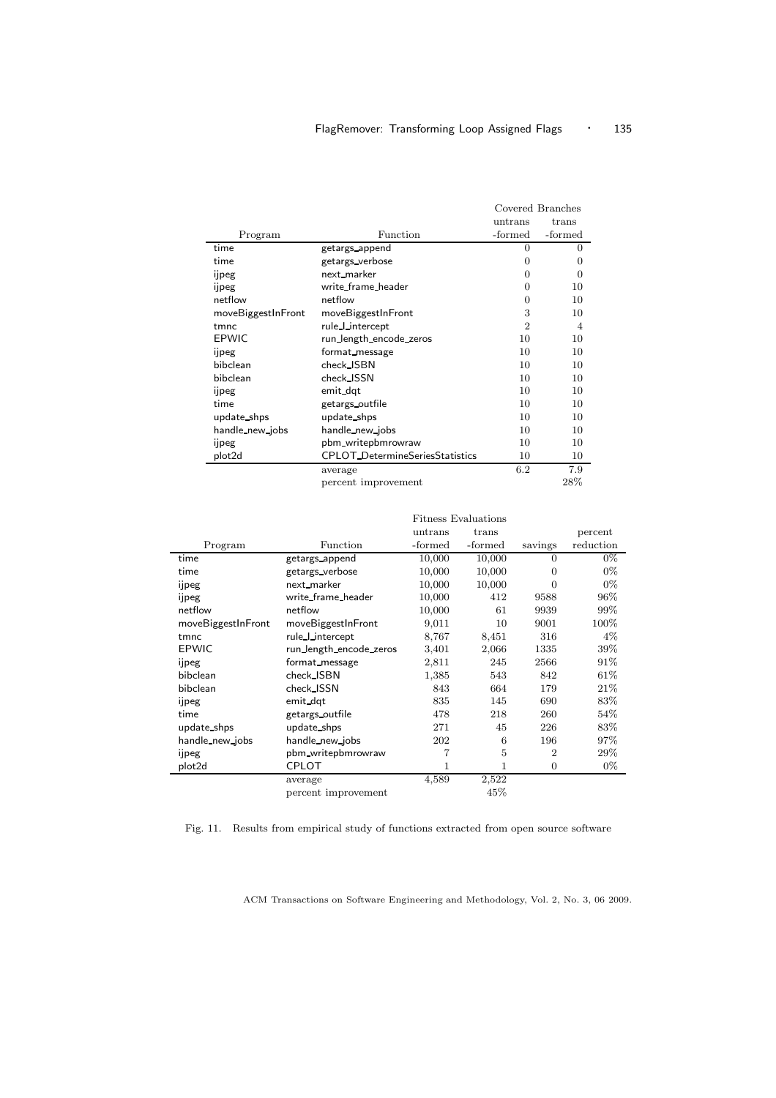|                    |                                        |          | Covered Branches |
|--------------------|----------------------------------------|----------|------------------|
|                    |                                        | untrans  | trans            |
| Program            | Function                               | -formed  | -formed          |
| time               | getargs_append                         | $\Omega$ | $\Omega$         |
| time               | getargs verbose                        | $\Omega$ | $\Omega$         |
| ijpeg              | next_marker                            | 0        | 0                |
| ijpeg              | write_frame_header                     | 0        | 10               |
| netflow            | netflow                                | $\Omega$ | 10               |
| moveBiggestInFront | moveBiggestInFront                     | 3        | 10               |
| tmnc               | rule Lintercept                        | 2        | 4                |
| EPWIC              | run_length_encode_zeros                | 10       | 10               |
| ijpeg              | format message                         | 10       | 10               |
| bibclean           | check_ISBN                             | 10       | 10               |
| bibclean           | check_ISSN                             | 10       | 10               |
| ijpeg              | emit_dqt                               | 10       | 10               |
| time               | getargs outfile                        | 10       | 10               |
| update_shps        | update_shps                            | 10       | 10               |
| handle_new_jobs    | handle_new_jobs                        | 10       | 10               |
| ijpeg              | pbm_writepbmrowraw                     | 10       | 10               |
| plot2d             | <b>CPLOT</b> DetermineSeriesStatistics | 10       | 10               |
|                    | average                                | 6.2      | 7.9              |
|                    | percent improvement                    |          | 28\%             |
|                    |                                        |          |                  |

|                    | <b>Fitness Evaluations</b> |         |         |                |           |  |  |  |
|--------------------|----------------------------|---------|---------|----------------|-----------|--|--|--|
|                    |                            | untrans | trans   |                | percent   |  |  |  |
| Program            | Function                   | -formed | -formed | savings        | reduction |  |  |  |
| time               | getargs_append             | 10,000  | 10,000  | $\Omega$       | $0\%$     |  |  |  |
| time               | getargs_verbose            | 10,000  | 10,000  | $\Omega$       | $0\%$     |  |  |  |
| ijpeg              | next_marker                | 10,000  | 10,000  | $\Omega$       | 0%        |  |  |  |
| ijpeg              | write_frame_header         | 10,000  | 412     | 9588           | 96%       |  |  |  |
| netflow            | netflow                    | 10,000  | 61      | 9939           | 99%       |  |  |  |
| moveBiggestInFront | moveBiggestInFront         | 9,011   | 10      | 9001           | 100%      |  |  |  |
| tmnc               | rule_1_intercept           | 8,767   | 8,451   | 316            | $4\%$     |  |  |  |
| EPWIC              | run_length_encode_zeros    | 3,401   | 2,066   | 1335           | 39%       |  |  |  |
| ijpeg              | format_message             | 2,811   | 245     | 2566           | 91%       |  |  |  |
| bibclean           | check_ISBN                 | 1,385   | 543     | 842            | $61\%$    |  |  |  |
| bibclean           | check_ISSN                 | 843     | 664     | 179            | 21%       |  |  |  |
| ijpeg              | emit_dqt                   | 835     | 145     | 690            | 83%       |  |  |  |
| time               | getargs outfile            | 478     | 218     | 260            | 54%       |  |  |  |
| update_shps        | update_shps                | 271     | 45      | 226            | 83%       |  |  |  |
| handle new jobs    | handle new jobs            | 202     | 6       | 196            | 97%       |  |  |  |
| ijpeg              | pbm_writepbmrowraw         | 7       | 5       | $\overline{2}$ | 29%       |  |  |  |
| plot2d             | <b>CPLOT</b>               | 1       | 1       | $\overline{0}$ | $0\%$     |  |  |  |
|                    | average                    | 4,589   | 2,522   |                |           |  |  |  |
|                    | percent improvement        |         | 45%     |                |           |  |  |  |

Fig. 11. Results from empirical study of functions extracted from open source software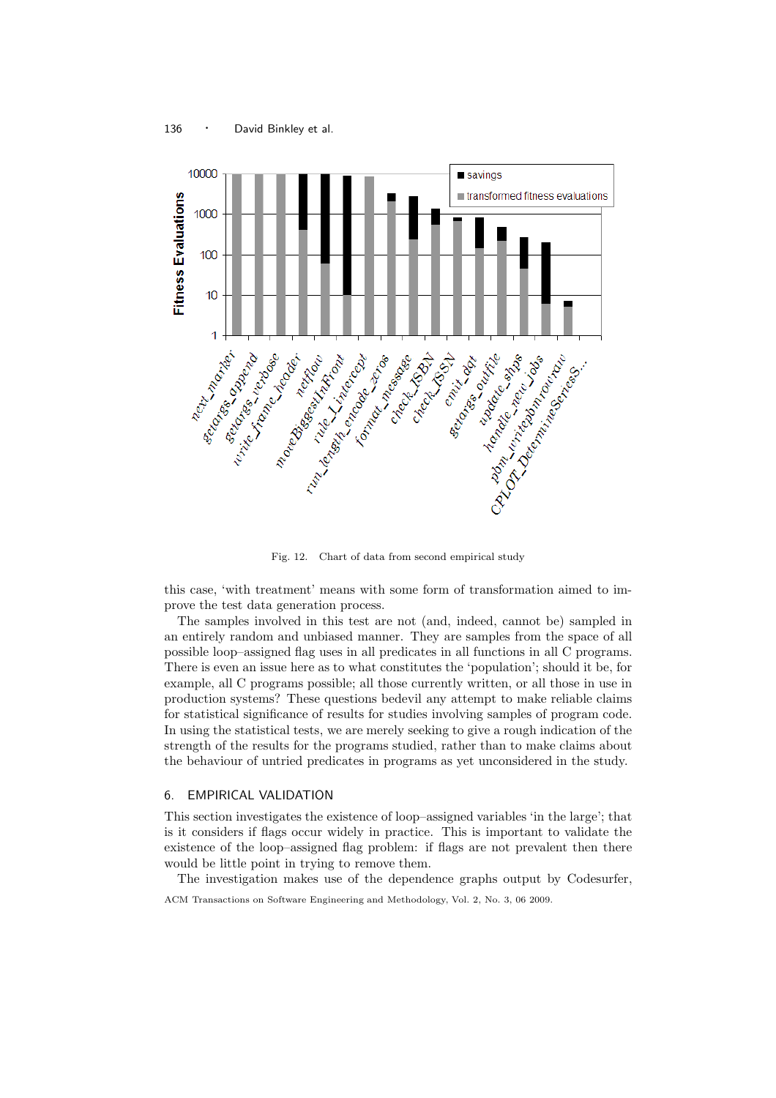![](_page_26_Figure_1.jpeg)

Fig. 12. Chart of data from second empirical study

this case, 'with treatment' means with some form of transformation aimed to improve the test data generation process.

The samples involved in this test are not (and, indeed, cannot be) sampled in an entirely random and unbiased manner. They are samples from the space of all possible loop–assigned flag uses in all predicates in all functions in all C programs. There is even an issue here as to what constitutes the 'population'; should it be, for example, all C programs possible; all those currently written, or all those in use in production systems? These questions bedevil any attempt to make reliable claims for statistical significance of results for studies involving samples of program code. In using the statistical tests, we are merely seeking to give a rough indication of the strength of the results for the programs studied, rather than to make claims about the behaviour of untried predicates in programs as yet unconsidered in the study.

# 6. EMPIRICAL VALIDATION

This section investigates the existence of loop–assigned variables 'in the large'; that is it considers if flags occur widely in practice. This is important to validate the existence of the loop–assigned flag problem: if flags are not prevalent then there would be little point in trying to remove them.

The investigation makes use of the dependence graphs output by Codesurfer,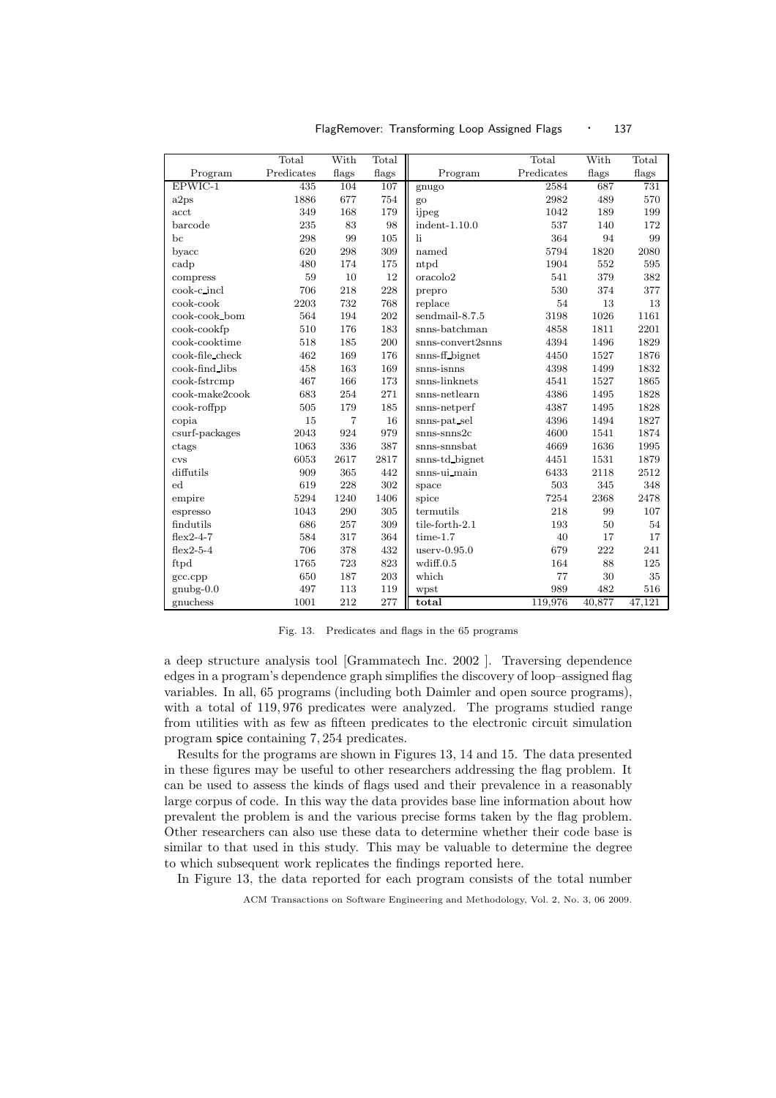| FlagRemover: Transforming Loop Assigned Flags |  |  | 137 |
|-----------------------------------------------|--|--|-----|
|                                               |  |  |     |

|                   | Total      | With           | Total |                   | Total      | With   | Total        |
|-------------------|------------|----------------|-------|-------------------|------------|--------|--------------|
| Program           | Predicates | flags          | flags | Program           | Predicates | flags  | $\rm{flags}$ |
| EPWIC-1           | 435        | 104            | 107   | gnugo             | 2584       | 687    | 731          |
| a <sub>2</sub> ps | 1886       | 677            | 754   | go                | 2982       | 489    | 570          |
| acct              | 349        | 168            | 179   | ijpeg             | 1042       | 189    | 199          |
| barcode           | 235        | 83             | 98    | $indent -1.10.0$  | 537        | 140    | 172          |
| bc                | 298        | 99             | 105   | 1i                | 364        | 94     | 99           |
| byacc             | 620        | 298            | 309   | named             | 5794       | 1820   | 2080         |
| cadp              | 480        | 174            | 175   | ntpd              | 1904       | 552    | 595          |
| compress          | 59         | 10             | 12    | oracolo2          | 541        | 379    | 382          |
| cook-c_incl       | 706        | 218            | 228   | prepro            | 530        | 374    | 377          |
| cook-cook         | 2203       | 732            | 768   | replace           | 54         | 13     | 13           |
| cook-cook_bom     | 564        | 194            | 202   | sendmail-8.7.5    | 3198       | 1026   | 1161         |
| cook-cookfp       | 510        | 176            | 183   | snns-batchman     | 4858       | 1811   | 2201         |
| cook-cooktime     | 518        | 185            | 200   | snns-convert2snns | 4394       | 1496   | 1829         |
| cook-file_check   | 462        | 169            | 176   | snns-ff bignet    | 4450       | 1527   | 1876         |
| cook-find_libs    | 458        | 163            | 169   | snns-isnns        | 4398       | 1499   | 1832         |
| cook-fstrcmp      | 467        | 166            | 173   | snns-linknets     | 4541       | 1527   | 1865         |
| cook-make2cook    | 683        | 254            | 271   | snns-netlearn     | 4386       | 1495   | 1828         |
| cook-roffpp       | 505        | 179            | 185   | snns-netperf      | 4387       | 1495   | 1828         |
| copia             | 15         | $\overline{7}$ | 16    | snns-pat_sel      | 4396       | 1494   | 1827         |
| csurf-packages    | 2043       | 924            | 979   | $snns$ -snns2c    | 4600       | 1541   | 1874         |
| ctags             | 1063       | 336            | 387   | snns-snnsbat      | 4669       | 1636   | 1995         |
| cvs               | 6053       | 2617           | 2817  | snns-td_bignet    | 4451       | 1531   | 1879         |
| diffutils         | 909        | 365            | 442   | snns-ui main      | 6433       | 2118   | 2512         |
| $_{\rm ed}$       | 619        | 228            | 302   | space             | 503        | 345    | 348          |
| empire            | 5294       | 1240           | 1406  | spice             | 7254       | 2368   | 2478         |
| espresso          | 1043       | 290            | 305   | termutils         | 218        | 99     | 107          |
| findutils         | 686        | 257            | 309   | tile-forth-2.1    | 193        | 50     | 54           |
| $flex2-4-7$       | 584        | 317            | 364   | $time-1.7$        | 40         | 17     | 17           |
| $flex2-5-4$       | 706        | 378            | 432   | $userv-0.95.0$    | 679        | 222    | 241          |
| ftpd              | 1765       | 723            | 823   | wdiff.0.5         | 164        | 88     | 125          |
| gcc.cpp           | 650        | 187            | 203   | which             | 77         | 30     | 35           |
| $gnubg-0.0$       | 497        | 113            | 119   | wpst              | 989        | 482    | 516          |
| gnuchess          | 1001       | 212            | 277   | total             | 119,976    | 40,877 | 47,121       |

Fig. 13. Predicates and flags in the 65 programs

a deep structure analysis tool [Grammatech Inc. 2002 ]. Traversing dependence edges in a program's dependence graph simplifies the discovery of loop–assigned flag variables. In all, 65 programs (including both Daimler and open source programs), with a total of 119, 976 predicates were analyzed. The programs studied range from utilities with as few as fifteen predicates to the electronic circuit simulation program spice containing 7, 254 predicates.

Results for the programs are shown in Figures 13, 14 and 15. The data presented in these figures may be useful to other researchers addressing the flag problem. It can be used to assess the kinds of flags used and their prevalence in a reasonably large corpus of code. In this way the data provides base line information about how prevalent the problem is and the various precise forms taken by the flag problem. Other researchers can also use these data to determine whether their code base is similar to that used in this study. This may be valuable to determine the degree to which subsequent work replicates the findings reported here.

In Figure 13, the data reported for each program consists of the total number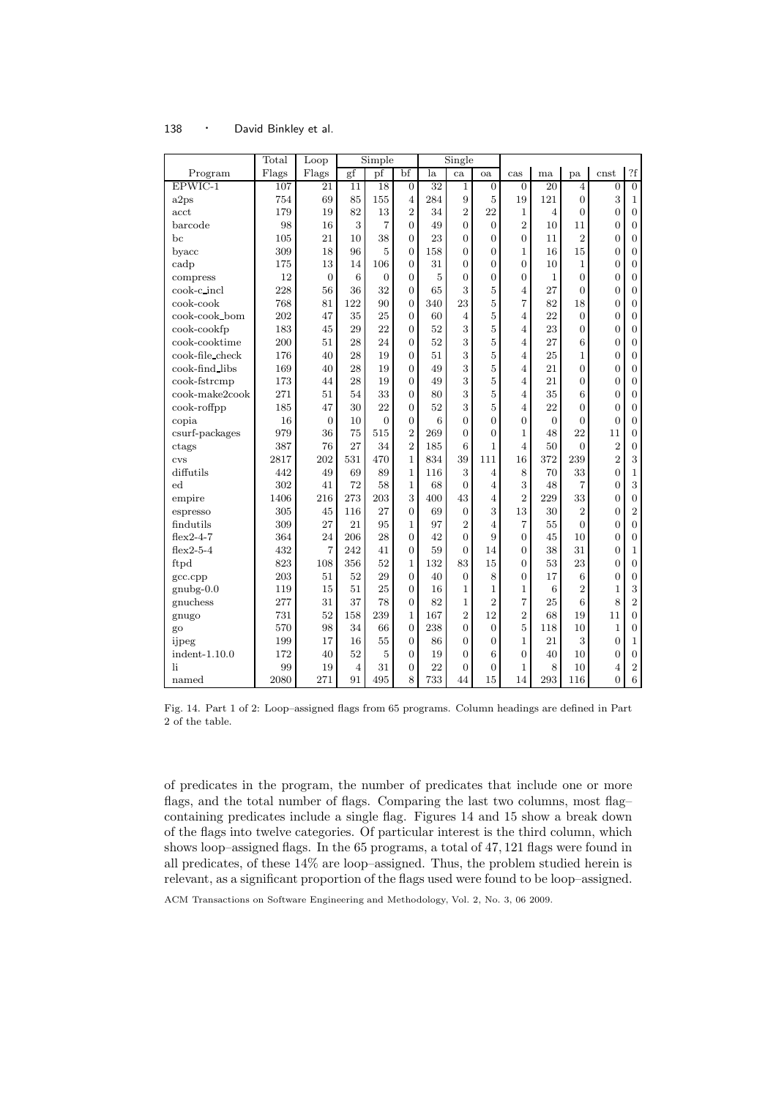|                  | Total | Loop           |                | Simple                   |                  | Single |                |                |                |                  |                |                  |                  |
|------------------|-------|----------------|----------------|--------------------------|------------------|--------|----------------|----------------|----------------|------------------|----------------|------------------|------------------|
| Program          | Flags | Flags          | gf             | $\overline{\mathrm{pf}}$ | bf               | la     | ca             | oa             | cas            | ma               | pa             | cnst             | ?f               |
| EPWIC-1          | 107   | 21             | 11             | 18                       | $\overline{0}$   | 32     | 1              | $\overline{0}$ | $\overline{0}$ | 20               | $\overline{4}$ | $\boldsymbol{0}$ | $\overline{0}$   |
| a <sub>2ps</sub> | 754   | 69             | 85             | 155                      | $\overline{4}$   | 284    | 9              | 5              | 19             | 121              | $\overline{0}$ | 3                | $\mathbf{1}$     |
| acct             | 179   | 19             | 82             | 13                       | $\overline{2}$   | 34     | $\overline{2}$ | 22             | 1              | $\overline{4}$   | $\overline{0}$ | $\overline{0}$   | $\boldsymbol{0}$ |
| barcode          | 98    | 16             | 3              | $\overline{7}$           | $\overline{0}$   | 49     | $\overline{0}$ | $\overline{0}$ | $\overline{2}$ | 10               | 11             | $\overline{0}$   | $\overline{0}$   |
| bc               | 105   | 21             | 10             | 38                       | $\overline{0}$   | 23     | $\Omega$       | $\Omega$       | $\overline{0}$ | 11               | $\overline{2}$ | $\overline{0}$   | $\overline{0}$   |
| byacc            | 309   | 18             | 96             | 5                        | $\overline{0}$   | 158    | $\overline{0}$ | $\overline{0}$ | $\mathbf{1}$   | 16               | 15             | $\overline{0}$   | $\overline{0}$   |
| cadp             | 175   | 13             | 14             | 106                      | $\overline{0}$   | 31     | $\overline{0}$ | $\overline{0}$ | $\overline{0}$ | 10               | $\mathbf{1}$   | $\mathbf{0}$     | $\overline{0}$   |
| compress         | 12    | $\overline{0}$ | 6              | $\overline{0}$           | $\overline{0}$   | 5      | $\Omega$       | $\overline{0}$ | $\overline{0}$ | $\mathbf{1}$     | $\overline{0}$ | $\overline{0}$   | $\overline{0}$   |
| cook-c_incl      | 228   | 56             | 36             | 32                       | $\overline{0}$   | 65     | 3              | 5              | $\overline{4}$ | 27               | $\overline{0}$ | $\overline{0}$   | $\overline{0}$   |
| cook-cook        | 768   | 81             | 122            | 90                       | $\overline{0}$   | 340    | 23             | 5              | $\overline{7}$ | 82               | 18             | $\overline{0}$   | $\overline{0}$   |
| cook-cook_bom    | 202   | 47             | 35             | 25                       | $\overline{0}$   | 60     | $\overline{4}$ | 5              | 4              | 22               | $\overline{0}$ | $\overline{0}$   | $\overline{0}$   |
| cook-cookfp      | 183   | 45             | 29             | 22                       | $\overline{0}$   | 52     | 3              | 5              | 4              | 23               | $\overline{0}$ | $\overline{0}$   | $\overline{0}$   |
| cook-cooktime    | 200   | 51             | 28             | 24                       | $\overline{0}$   | 52     | 3              | 5              | 4              | 27               | 6              | $\mathbf{0}$     | $\overline{0}$   |
| cook-file_check  | 176   | 40             | 28             | 19                       | $\overline{0}$   | 51     | 3              | 5              | 4              | 25               | $\mathbf{1}$   | $\overline{0}$   | $\boldsymbol{0}$ |
| cook-find_libs   | 169   | 40             | 28             | 19                       | $\overline{0}$   | 49     | 3              | 5              | 4              | 21               | $\Omega$       | $\Omega$         | $\overline{0}$   |
| cook-fstrcmp     | 173   | 44             | 28             | 19                       | $\overline{0}$   | 49     | 3              | 5              | $\overline{4}$ | 21               | $\overline{0}$ | $\overline{0}$   | $\overline{0}$   |
| cook-make2cook   | 271   | 51             | 54             | 33                       | $\overline{0}$   | 80     | 3              | 5              | $\overline{4}$ | 35               | 6              | $\overline{0}$   | $\boldsymbol{0}$ |
| cook-roffpp      | 185   | 47             | 30             | 22                       | $\overline{0}$   | 52     | 3              | 5              | 4              | 22               | $\overline{0}$ | $\overline{0}$   | $\overline{0}$   |
| copia            | 16    | $\overline{0}$ | 10             | $\overline{0}$           | $\overline{0}$   | 6      | $\Omega$       | $\Omega$       | $\overline{0}$ | $\overline{0}$   | $\overline{0}$ | $\Omega$         | $\overline{0}$   |
| csurf-packages   | 979   | 36             | 75             | 515                      | $\overline{2}$   | 269    | $\Omega$       | $\Omega$       | 1              | 48               | 22             | 11               | $\overline{0}$   |
| ctags            | 387   | 76             | 27             | 34                       | $\overline{2}$   | 185    | 6              | $\mathbf{1}$   | $\overline{4}$ | 50               | $\overline{0}$ | $\overline{2}$   | $\overline{0}$   |
| <b>CVS</b>       | 2817  | 202            | 531            | 470                      | $\mathbf{1}$     | 834    | 39             | $111\,$        | 16             | 372              | 239            | $\overline{2}$   | 3                |
| diffutils        | 442   | 49             | 69             | 89                       | $\mathbf{1}$     | 116    | 3              | $\overline{4}$ | 8              | 70               | 33             | $\overline{0}$   | $\mathbf{1}$     |
| ed               | 302   | 41             | 72             | 58                       | $\mathbf{1}$     | 68     | $\overline{0}$ | $\overline{4}$ | 3              | 48               | $\overline{7}$ | $\overline{0}$   | 3                |
| empire           | 1406  | 216            | 273            | 203                      | 3                | 400    | 43             | $\overline{4}$ | $\overline{2}$ | 229              | 33             | $\overline{0}$   | $\overline{0}$   |
| espresso         | 305   | 45             | 116            | 27                       | $\boldsymbol{0}$ | 69     | $\overline{0}$ | 3              | 13             | 30               | $\overline{2}$ | $\overline{0}$   | $\overline{2}$   |
| findutils        | 309   | 27             | 21             | 95                       | $\mathbf{1}$     | 97     | $\overline{2}$ | $\overline{4}$ | $\overline{7}$ | 55               | $\overline{0}$ | $\overline{0}$   | $\overline{0}$   |
| $flex2-4-7$      | 364   | 24             | 206            | 28                       | $\overline{0}$   | 42     | $\overline{0}$ | 9              | $\overline{0}$ | 45               | 10             | $\mathbf{0}$     | $\overline{0}$   |
| flex2-5-4        | 432   | $\overline{7}$ | 242            | 41                       | $\overline{0}$   | 59     | $\Omega$       | 14             | $\overline{0}$ | 38               | 31             | $\Omega$         | $\mathbf 1$      |
| ftpd             | 823   | 108            | 356            | 52                       | $\mathbf{1}$     | 132    | 83             | 15             | $\overline{0}$ | 53               | 23             | $\Omega$         | $\overline{0}$   |
| gcc.cpp          | 203   | 51             | 52             | 29                       | $\boldsymbol{0}$ | 40     | $\overline{0}$ | 8              | $\overline{0}$ | 17               | 6              | $\overline{0}$   | $\overline{0}$   |
| $gnubg-0.0$      | 119   | 15             | 51             | 25                       | $\boldsymbol{0}$ | 16     | $\mathbf 1$    | $\mathbf{1}$   | $\mathbf{1}$   | $\boldsymbol{6}$ | $\overline{2}$ | $\mathbf{1}$     | 3                |
| gnuchess         | 277   | 31             | 37             | 78                       | $\overline{0}$   | 82     | 1              | $\overline{2}$ | 7              | 25               | 6              | 8                | $\sqrt{2}$       |
| gnugo            | 731   | 52             | 158            | 239                      | $\mathbf{1}$     | 167    | $\overline{2}$ | 12             | $\overline{2}$ | 68               | 19             | 11               | $\overline{0}$   |
| go               | 570   | 98             | 34             | 66                       | $\overline{0}$   | 238    | $\overline{0}$ | $\overline{0}$ | 5              | 118              | 10             | $\mathbf{1}$     | $\overline{0}$   |
| ijpeg            | 199   | 17             | 16             | 55                       | $\overline{0}$   | 86     | $\overline{0}$ | $\overline{0}$ | $\mathbf{1}$   | 21               | 3              | $\overline{0}$   | $\mathbf 1$      |
| $indent -1.10.0$ | 172   | 40             | 52             | 5                        | $\overline{0}$   | 19     | $\overline{0}$ | 6              | $\overline{0}$ | 40               | 10             | $\overline{0}$   | $\overline{0}$   |
| li.              | 99    | 19             | $\overline{4}$ | 31                       | $\overline{0}$   | 22     | $\overline{0}$ | $\overline{0}$ | 1              | 8                | 10             | 4                | $\sqrt{2}$       |
| named            | 2080  | 271            | 91             | 495                      | 8                | 733    | 44             | 15             | 14             | 293              | 116            | $\overline{0}$   | $\overline{6}$   |

Fig. 14. Part 1 of 2: Loop–assigned flags from 65 programs. Column headings are defined in Part 2 of the table.

of predicates in the program, the number of predicates that include one or more flags, and the total number of flags. Comparing the last two columns, most flagcontaining predicates include a single flag. Figures 14 and 15 show a break down of the flags into twelve categories. Of particular interest is the third column, which shows loop–assigned flags. In the 65 programs, a total of 47, 121 flags were found in all predicates, of these 14% are loop–assigned. Thus, the problem studied herein is relevant, as a significant proportion of the flags used were found to be loop–assigned.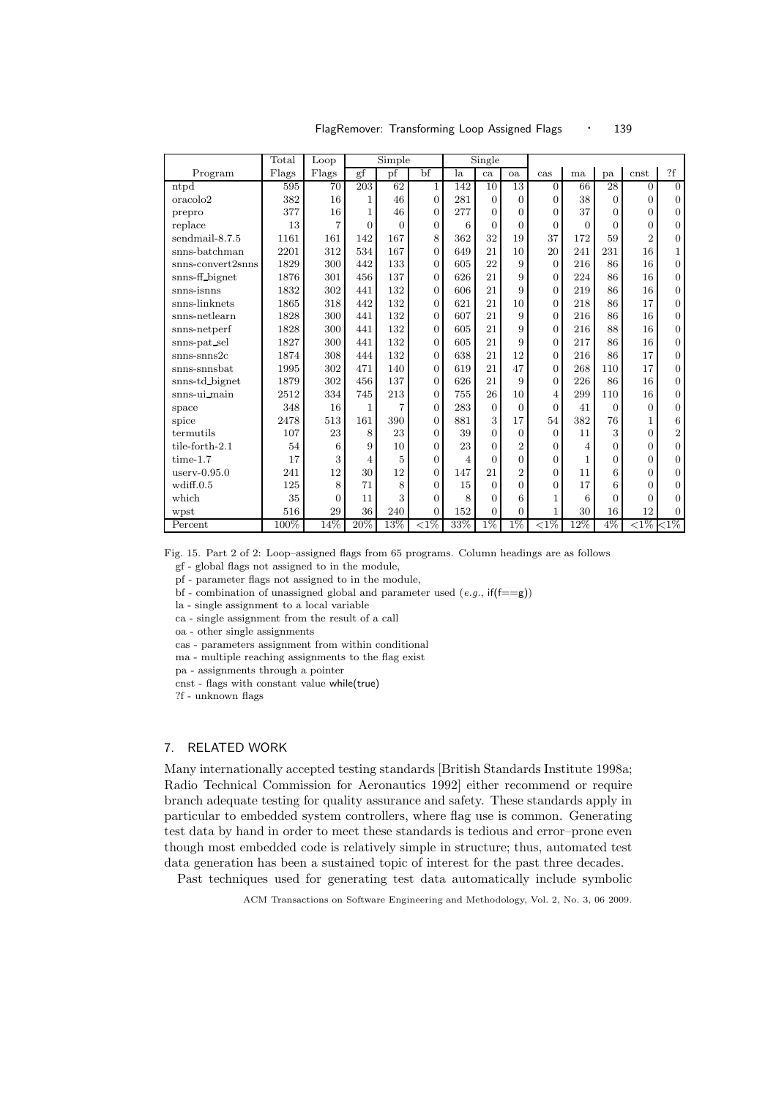FlagRemover: Transforming Loop Assigned Flags • 139

|                          | Total | Loop           | Simple       |          | Single         |     |          |                   |                |                |          |                |                  |
|--------------------------|-------|----------------|--------------|----------|----------------|-----|----------|-------------------|----------------|----------------|----------|----------------|------------------|
| Program                  | Flags | ${\rm Flags}$  | gf           | pf       | bf             | lа. | ca       | oa.               | cas            | ma             | pa       | cnst           | 2f               |
| ntpd                     | 595   | 70             | 203          | 62       | 1              | 142 | 10       | 13                | $\overline{0}$ | 66             | 28       | $\Omega$       | $\theta$         |
| oracolo2                 | 382   | 16             | $\mathbf{1}$ | 46       | $\Omega$       | 281 | $\Omega$ | $\Omega$          | $\Omega$       | 38             | $\Omega$ | $\Omega$       | $\overline{0}$   |
| prepro                   | 377   | 16             | 1            | 46       | $\theta$       | 277 | $\Omega$ | $\Omega$          | $\overline{0}$ | 37             | $\Omega$ | $\overline{0}$ | $\overline{0}$   |
| replace                  | 13    | $\overline{7}$ | $\Omega$     | $\Omega$ | $\Omega$       | 6   | $\Omega$ | $\Omega$          | $\Omega$       | $\Omega$       | $\Omega$ | $\Omega$       | $\overline{0}$   |
| sendmail-8.7.5           | 1161  | 161            | 142          | 167      | 8              | 362 | 32       | 19                | 37             | 172            | 59       | $\overline{2}$ | $\overline{0}$   |
| snns-batchman            | 2201  | 312            | 534          | 167      | $\theta$       | 649 | 21       | 10                | 20             | 241            | 231      | 16             | 1                |
| $snns$ -convert $2s$ nns | 1829  | 300            | 442          | 133      | $\overline{0}$ | 605 | 22       | 9                 | $\overline{0}$ | 216            | 86       | 16             | $\overline{0}$   |
| snns-ff bignet           | 1876  | 301            | 456          | 137      | $\Omega$       | 626 | 21       | 9                 | $\Omega$       | 224            | 86       | 16             | $\boldsymbol{0}$ |
| snns-isnns               | 1832  | 302            | 441          | 132      | $\overline{0}$ | 606 | 21       | 9                 | $\overline{0}$ | 219            | 86       | 16             | $\boldsymbol{0}$ |
| snns-linknets            | 1865  | 318            | 442          | 132      | $\Omega$       | 621 | 21       | 10                | $\Omega$       | 218            | 86       | 17             | $\boldsymbol{0}$ |
| snns-netlearn            | 1828  | 300            | 441          | 132      | $\Omega$       | 607 | 21       | 9                 | $\overline{0}$ | 216            | 86       | 16             | $\overline{0}$   |
| snns-netperf             | 1828  | 300            | 441          | 132      | $\Omega$       | 605 | 21       | 9                 | $\Omega$       | 216            | 88       | 16             | $\overline{0}$   |
| snns-pat_sel             | 1827  | 300            | 441          | 132      | $\Omega$       | 605 | 21       | 9                 | $\Omega$       | 217            | 86       | 16             | $\overline{0}$   |
| $snns$ - $snns2c$        | 1874  | 308            | 444          | 132      | $\Omega$       | 638 | 21       | 12                | $\Omega$       | 216            | 86       | 17             | $\overline{0}$   |
| snns-snnsbat             | 1995  | 302            | 471          | 140      | $\theta$       | 619 | 21       | 47                | $\overline{0}$ | 268            | 110      | 17             | $\overline{0}$   |
| snns-td bignet           | 1879  | 302            | 456          | 137      | $\Omega$       | 626 | 21       | 9                 | $\Omega$       | 226            | 86       | 16             | $\overline{0}$   |
| snns-ui main             | 2512  | 334            | 745          | 213      | $\theta$       | 755 | 26       | 10                | $\overline{4}$ | 299            | 110      | 16             | $\overline{0}$   |
| space                    | 348   | 16             | $\mathbf{1}$ | 7        | $\overline{0}$ | 283 | $\Omega$ | $\Omega$          | $\Omega$       | 41             | $\Omega$ | $\overline{0}$ | $\mathbf{0}$     |
| spice                    | 2478  | 513            | 161          | 390      | $\theta$       | 881 | 3        | 17                | 54             | 382            | 76       | 1              | 6                |
| termutils                | 107   | 23             | 8            | 23       | $\Omega$       | 39  | $\Omega$ | $\Omega$          | $\overline{0}$ | 11             | 3        | $\overline{0}$ | $\overline{2}$   |
| tile-forth-2.1           | 54    | 6              | 9            | 10       | $\Omega$       | 23  | $\Omega$ | $\mathcal{D}_{1}$ | $\Omega$       | $\overline{4}$ | $\Omega$ | $\Omega$       | $\overline{0}$   |
| $time-1.7$               | 17    | 3              | 4            | 5        | $\Omega$       | 4   | $\Omega$ | $\Omega$          | $\Omega$       | 1              | $\Omega$ | 0              | $\mathbf{0}$     |
| $userv-0.95.0$           | 241   | 12             | 30           | 12       | $\Omega$       | 147 | 21       | $\mathcal{D}_{1}$ | $\Omega$       | 11             | 6        | $\Omega$       | $\overline{0}$   |
| wdiff.0.5                | 125   | 8              | 71           | 8        | $\Omega$       | 15  | $\Omega$ | $\theta$          | $\overline{0}$ | 17             | 6        | $\overline{0}$ | $\mathbf{0}$     |
| which                    | 35    | $\overline{0}$ | 11           | 3        | $\Omega$       | 8   | $\Omega$ | 6                 | 1              | 6              | $\Omega$ | $\Omega$       | $\overline{0}$   |
| wpst                     | 516   | 29             | 36           | 240      | $\overline{0}$ | 152 | $\Omega$ | $\Omega$          | 1              | 30             | 16       | 12             | $\overline{0}$   |
| Percent                  | 100%  | 14%            | 20%          | 13%      | $\langle 1\%$  | 33% | $1\%$    | $1\%$             | ${<}1\%$       | 12%            | $4\%$    | ${<}1\%$       | ${<}1\%$         |

Fig. 15. Part 2 of 2: Loop–assigned flags from 65 programs. Column headings are as follows

gf - global flags not assigned to in the module,

pf - parameter flags not assigned to in the module,

bf - combination of unassigned global and parameter used (*e.g.*, if(f==g))

la - single assignment to a local variable

ca - single assignment from the result of a call

oa - other single assignments

cas - parameters assignment from within conditional

ma - multiple reaching assignments to the flag exist

pa - assignments through a pointer

cnst - flags with constant value while(true)

?f - unknown flags

# 7. RELATED WORK

Many internationally accepted testing standards [British Standards Institute 1998a; Radio Technical Commission for Aeronautics 1992] either recommend or require branch adequate testing for quality assurance and safety. These standards apply in particular to embedded system controllers, where flag use is common. Generating test data by hand in order to meet these standards is tedious and error–prone even though most embedded code is relatively simple in structure; thus, automated test data generation has been a sustained topic of interest for the past three decades.

Past techniques used for generating test data automatically include symbolic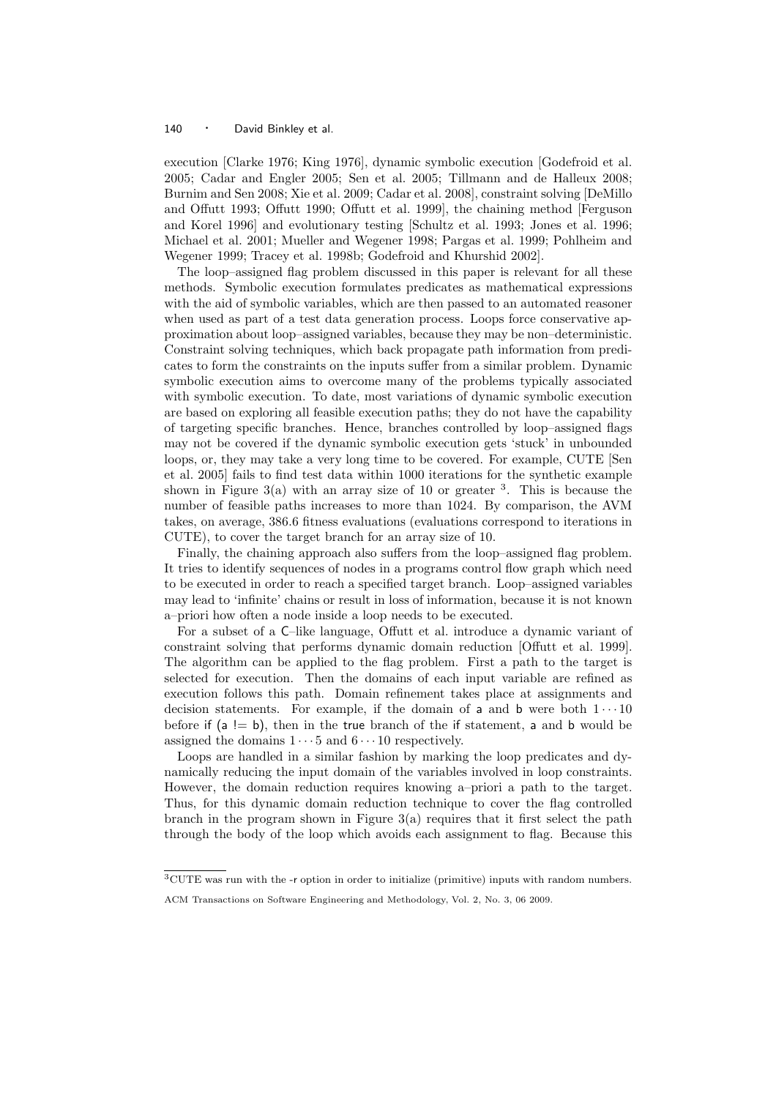execution [Clarke 1976; King 1976], dynamic symbolic execution [Godefroid et al. 2005; Cadar and Engler 2005; Sen et al. 2005; Tillmann and de Halleux 2008; Burnim and Sen 2008; Xie et al. 2009; Cadar et al. 2008], constraint solving [DeMillo and Offutt 1993; Offutt 1990; Offutt et al. 1999], the chaining method [Ferguson and Korel 1996] and evolutionary testing [Schultz et al. 1993; Jones et al. 1996; Michael et al. 2001; Mueller and Wegener 1998; Pargas et al. 1999; Pohlheim and Wegener 1999; Tracey et al. 1998b; Godefroid and Khurshid 2002].

The loop–assigned flag problem discussed in this paper is relevant for all these methods. Symbolic execution formulates predicates as mathematical expressions with the aid of symbolic variables, which are then passed to an automated reasoner when used as part of a test data generation process. Loops force conservative approximation about loop–assigned variables, because they may be non–deterministic. Constraint solving techniques, which back propagate path information from predicates to form the constraints on the inputs suffer from a similar problem. Dynamic symbolic execution aims to overcome many of the problems typically associated with symbolic execution. To date, most variations of dynamic symbolic execution are based on exploring all feasible execution paths; they do not have the capability of targeting specific branches. Hence, branches controlled by loop–assigned flags may not be covered if the dynamic symbolic execution gets 'stuck' in unbounded loops, or, they may take a very long time to be covered. For example, CUTE [Sen et al. 2005] fails to find test data within 1000 iterations for the synthetic example shown in Figure  $3(a)$  with an array size of 10 or greater  $3$ . This is because the number of feasible paths increases to more than 1024. By comparison, the AVM takes, on average, 386.6 fitness evaluations (evaluations correspond to iterations in CUTE), to cover the target branch for an array size of 10.

Finally, the chaining approach also suffers from the loop–assigned flag problem. It tries to identify sequences of nodes in a programs control flow graph which need to be executed in order to reach a specified target branch. Loop–assigned variables may lead to 'infinite' chains or result in loss of information, because it is not known a–priori how often a node inside a loop needs to be executed.

For a subset of a C–like language, Offutt et al. introduce a dynamic variant of constraint solving that performs dynamic domain reduction [Offutt et al. 1999]. The algorithm can be applied to the flag problem. First a path to the target is selected for execution. Then the domains of each input variable are refined as execution follows this path. Domain refinement takes place at assignments and decision statements. For example, if the domain of a and b were both  $1 \cdots 10$ before if  $(a != b)$ , then in the true branch of the if statement, a and b would be assigned the domains  $1 \cdots 5$  and  $6 \cdots 10$  respectively.

Loops are handled in a similar fashion by marking the loop predicates and dynamically reducing the input domain of the variables involved in loop constraints. However, the domain reduction requires knowing a–priori a path to the target. Thus, for this dynamic domain reduction technique to cover the flag controlled branch in the program shown in Figure  $3(a)$  requires that it first select the path through the body of the loop which avoids each assignment to flag. Because this

 ${}^{3}$ CUTE was run with the -r option in order to initialize (primitive) inputs with random numbers.

ACM Transactions on Software Engineering and Methodology, Vol. 2, No. 3, 06 2009.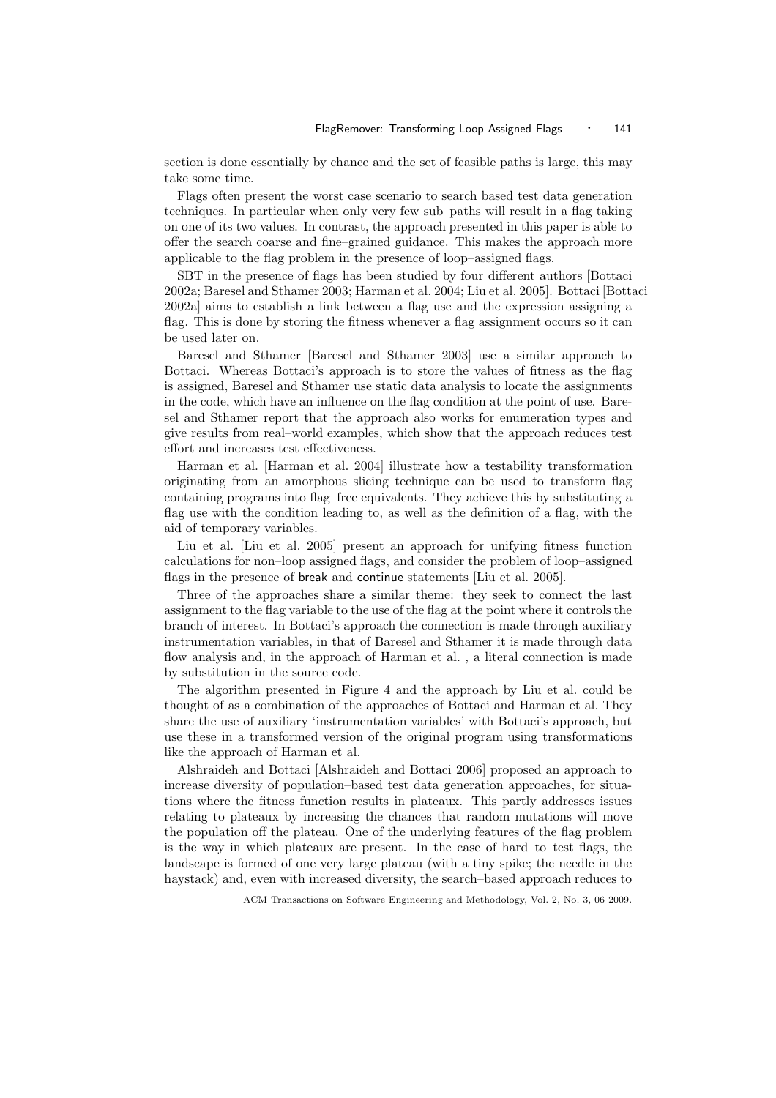section is done essentially by chance and the set of feasible paths is large, this may take some time.

Flags often present the worst case scenario to search based test data generation techniques. In particular when only very few sub–paths will result in a flag taking on one of its two values. In contrast, the approach presented in this paper is able to offer the search coarse and fine–grained guidance. This makes the approach more applicable to the flag problem in the presence of loop–assigned flags.

SBT in the presence of flags has been studied by four different authors [Bottaci 2002a; Baresel and Sthamer 2003; Harman et al. 2004; Liu et al. 2005]. Bottaci [Bottaci 2002a] aims to establish a link between a flag use and the expression assigning a flag. This is done by storing the fitness whenever a flag assignment occurs so it can be used later on.

Baresel and Sthamer [Baresel and Sthamer 2003] use a similar approach to Bottaci. Whereas Bottaci's approach is to store the values of fitness as the flag is assigned, Baresel and Sthamer use static data analysis to locate the assignments in the code, which have an influence on the flag condition at the point of use. Baresel and Sthamer report that the approach also works for enumeration types and give results from real–world examples, which show that the approach reduces test effort and increases test effectiveness.

Harman et al. [Harman et al. 2004] illustrate how a testability transformation originating from an amorphous slicing technique can be used to transform flag containing programs into flag–free equivalents. They achieve this by substituting a flag use with the condition leading to, as well as the definition of a flag, with the aid of temporary variables.

Liu et al. [Liu et al. 2005] present an approach for unifying fitness function calculations for non–loop assigned flags, and consider the problem of loop–assigned flags in the presence of break and continue statements [Liu et al. 2005].

Three of the approaches share a similar theme: they seek to connect the last assignment to the flag variable to the use of the flag at the point where it controls the branch of interest. In Bottaci's approach the connection is made through auxiliary instrumentation variables, in that of Baresel and Sthamer it is made through data flow analysis and, in the approach of Harman et al. , a literal connection is made by substitution in the source code.

The algorithm presented in Figure 4 and the approach by Liu et al. could be thought of as a combination of the approaches of Bottaci and Harman et al. They share the use of auxiliary 'instrumentation variables' with Bottaci's approach, but use these in a transformed version of the original program using transformations like the approach of Harman et al.

Alshraideh and Bottaci [Alshraideh and Bottaci 2006] proposed an approach to increase diversity of population–based test data generation approaches, for situations where the fitness function results in plateaux. This partly addresses issues relating to plateaux by increasing the chances that random mutations will move the population off the plateau. One of the underlying features of the flag problem is the way in which plateaux are present. In the case of hard–to–test flags, the landscape is formed of one very large plateau (with a tiny spike; the needle in the haystack) and, even with increased diversity, the search–based approach reduces to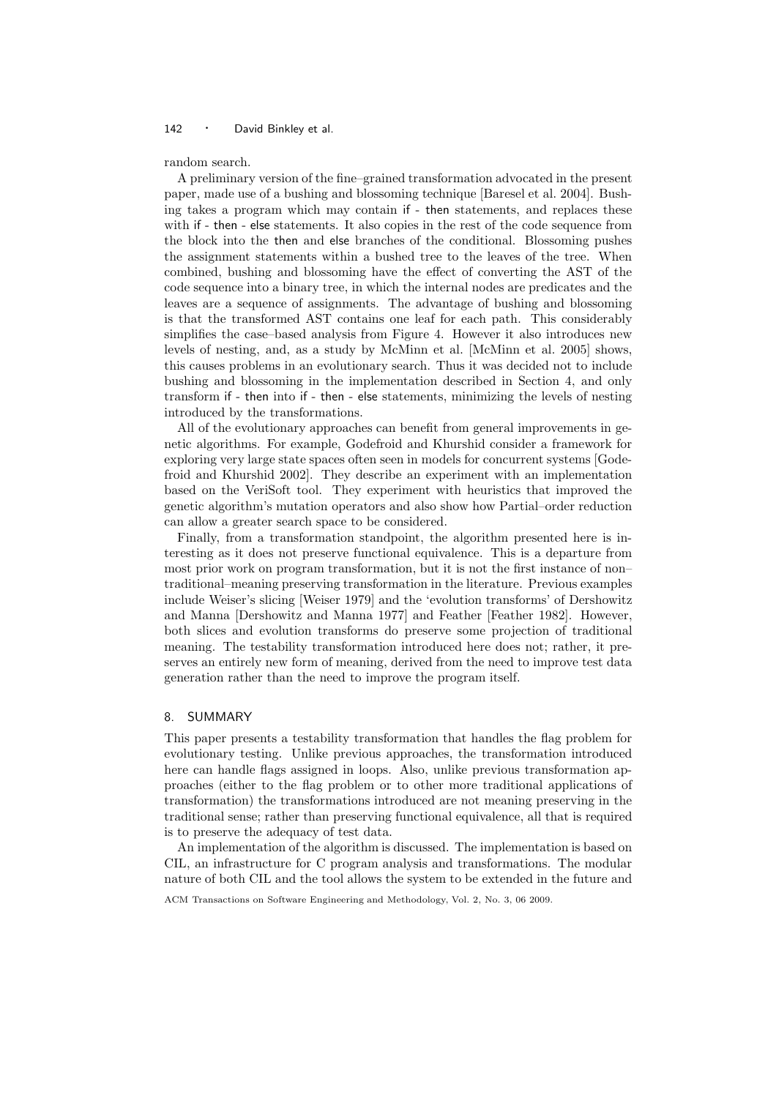random search.

A preliminary version of the fine–grained transformation advocated in the present paper, made use of a bushing and blossoming technique [Baresel et al. 2004]. Bushing takes a program which may contain if - then statements, and replaces these with if - then - else statements. It also copies in the rest of the code sequence from the block into the then and else branches of the conditional. Blossoming pushes the assignment statements within a bushed tree to the leaves of the tree. When combined, bushing and blossoming have the effect of converting the AST of the code sequence into a binary tree, in which the internal nodes are predicates and the leaves are a sequence of assignments. The advantage of bushing and blossoming is that the transformed AST contains one leaf for each path. This considerably simplifies the case–based analysis from Figure 4. However it also introduces new levels of nesting, and, as a study by McMinn et al. [McMinn et al. 2005] shows, this causes problems in an evolutionary search. Thus it was decided not to include bushing and blossoming in the implementation described in Section 4, and only transform if - then into if - then - else statements, minimizing the levels of nesting introduced by the transformations.

All of the evolutionary approaches can benefit from general improvements in genetic algorithms. For example, Godefroid and Khurshid consider a framework for exploring very large state spaces often seen in models for concurrent systems [Godefroid and Khurshid 2002]. They describe an experiment with an implementation based on the VeriSoft tool. They experiment with heuristics that improved the genetic algorithm's mutation operators and also show how Partial–order reduction can allow a greater search space to be considered.

Finally, from a transformation standpoint, the algorithm presented here is interesting as it does not preserve functional equivalence. This is a departure from most prior work on program transformation, but it is not the first instance of non– traditional–meaning preserving transformation in the literature. Previous examples include Weiser's slicing [Weiser 1979] and the 'evolution transforms' of Dershowitz and Manna [Dershowitz and Manna 1977] and Feather [Feather 1982]. However, both slices and evolution transforms do preserve some projection of traditional meaning. The testability transformation introduced here does not; rather, it preserves an entirely new form of meaning, derived from the need to improve test data generation rather than the need to improve the program itself.

#### 8. SUMMARY

This paper presents a testability transformation that handles the flag problem for evolutionary testing. Unlike previous approaches, the transformation introduced here can handle flags assigned in loops. Also, unlike previous transformation approaches (either to the flag problem or to other more traditional applications of transformation) the transformations introduced are not meaning preserving in the traditional sense; rather than preserving functional equivalence, all that is required is to preserve the adequacy of test data.

An implementation of the algorithm is discussed. The implementation is based on CIL, an infrastructure for C program analysis and transformations. The modular nature of both CIL and the tool allows the system to be extended in the future and

ACM Transactions on Software Engineering and Methodology, Vol. 2, No. 3, 06 2009.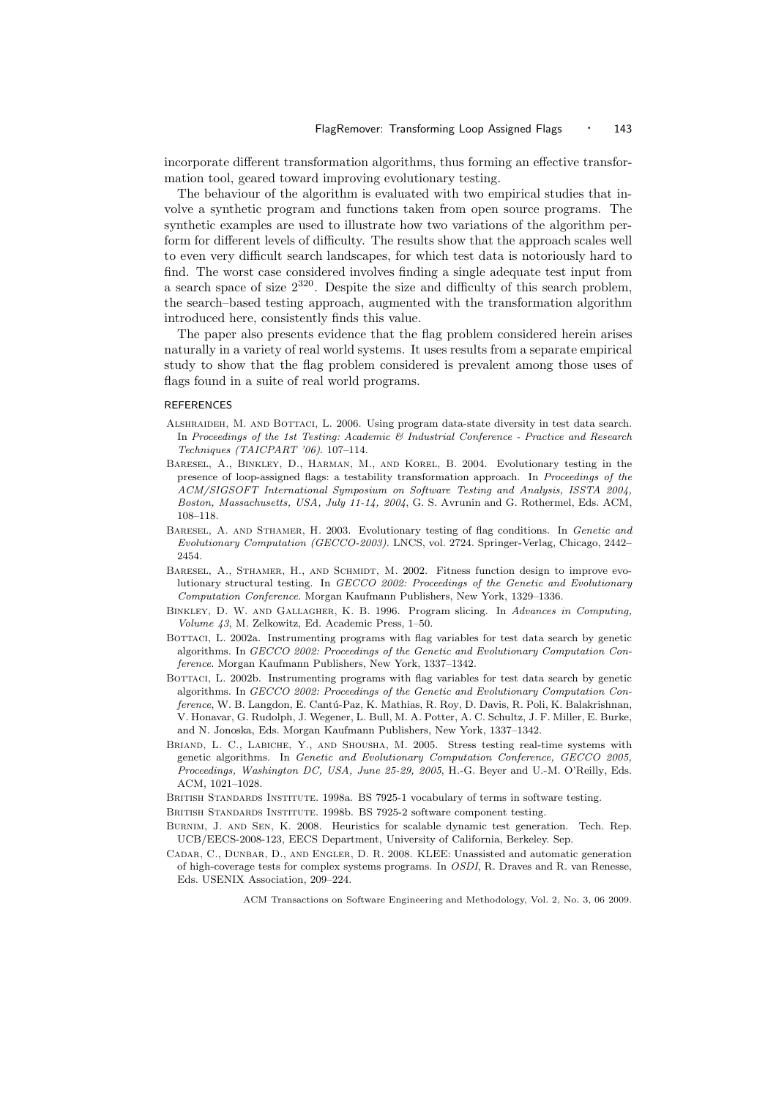incorporate different transformation algorithms, thus forming an effective transformation tool, geared toward improving evolutionary testing.

The behaviour of the algorithm is evaluated with two empirical studies that involve a synthetic program and functions taken from open source programs. The synthetic examples are used to illustrate how two variations of the algorithm perform for different levels of difficulty. The results show that the approach scales well to even very difficult search landscapes, for which test data is notoriously hard to find. The worst case considered involves finding a single adequate test input from a search space of size 2<sup>320</sup>. Despite the size and difficulty of this search problem, the search–based testing approach, augmented with the transformation algorithm introduced here, consistently finds this value.

The paper also presents evidence that the flag problem considered herein arises naturally in a variety of real world systems. It uses results from a separate empirical study to show that the flag problem considered is prevalent among those uses of flags found in a suite of real world programs.

## REFERENCES

- Alshraideh, M. and Bottaci, L. 2006. Using program data-state diversity in test data search. In *Proceedings of the 1st Testing: Academic & Industrial Conference - Practice and Research Techniques (TAICPART '06)*. 107–114.
- Baresel, A., Binkley, D., Harman, M., and Korel, B. 2004. Evolutionary testing in the presence of loop-assigned flags: a testability transformation approach. In *Proceedings of the ACM/SIGSOFT International Symposium on Software Testing and Analysis, ISSTA 2004, Boston, Massachusetts, USA, July 11-14, 2004*, G. S. Avrunin and G. Rothermel, Eds. ACM, 108–118.
- Baresel, A. and Sthamer, H. 2003. Evolutionary testing of flag conditions. In *Genetic and Evolutionary Computation (GECCO-2003)*. LNCS, vol. 2724. Springer-Verlag, Chicago, 2442– 2454.
- BARESEL, A., STHAMER, H., AND SCHMIDT, M. 2002. Fitness function design to improve evolutionary structural testing. In *GECCO 2002: Proceedings of the Genetic and Evolutionary Computation Conference*. Morgan Kaufmann Publishers, New York, 1329–1336.
- Binkley, D. W. and Gallagher, K. B. 1996. Program slicing. In *Advances in Computing, Volume 43*, M. Zelkowitz, Ed. Academic Press, 1–50.
- BOTTACI, L. 2002a. Instrumenting programs with flag variables for test data search by genetic algorithms. In *GECCO 2002: Proceedings of the Genetic and Evolutionary Computation Conference*. Morgan Kaufmann Publishers, New York, 1337–1342.
- BOTTACI, L. 2002b. Instrumenting programs with flag variables for test data search by genetic algorithms. In *GECCO 2002: Proceedings of the Genetic and Evolutionary Computation Conference*, W. B. Langdon, E. Cant´u-Paz, K. Mathias, R. Roy, D. Davis, R. Poli, K. Balakrishnan, V. Honavar, G. Rudolph, J. Wegener, L. Bull, M. A. Potter, A. C. Schultz, J. F. Miller, E. Burke, and N. Jonoska, Eds. Morgan Kaufmann Publishers, New York, 1337–1342.
- BRIAND, L. C., LABICHE, Y., AND SHOUSHA, M. 2005. Stress testing real-time systems with genetic algorithms. In *Genetic and Evolutionary Computation Conference, GECCO 2005, Proceedings, Washington DC, USA, June 25-29, 2005*, H.-G. Beyer and U.-M. O'Reilly, Eds. ACM, 1021–1028.
- BRITISH STANDARDS INSTITUTE. 1998a. BS 7925-1 vocabulary of terms in software testing.
- BRITISH STANDARDS INSTITUTE. 1998b. BS 7925-2 software component testing.
- BURNIM, J. AND SEN, K. 2008. Heuristics for scalable dynamic test generation. Tech. Rep. UCB/EECS-2008-123, EECS Department, University of California, Berkeley. Sep.
- Cadar, C., Dunbar, D., and Engler, D. R. 2008. KLEE: Unassisted and automatic generation of high-coverage tests for complex systems programs. In *OSDI*, R. Draves and R. van Renesse, Eds. USENIX Association, 209–224.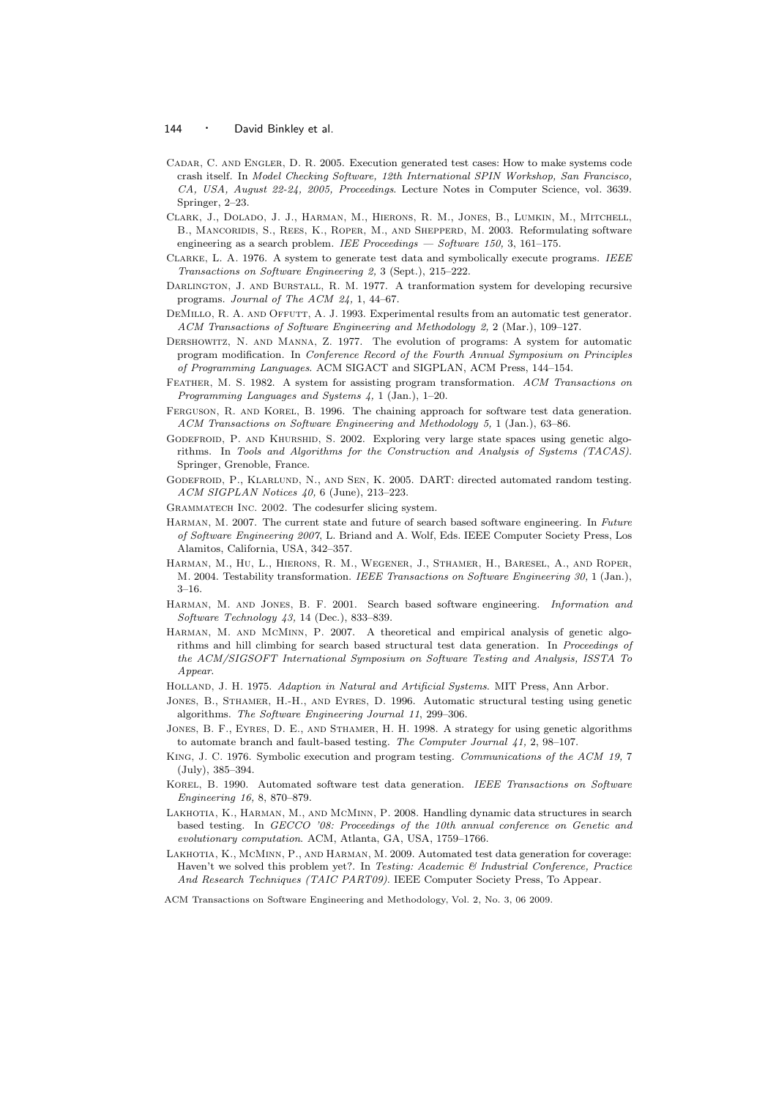- Cadar, C. and Engler, D. R. 2005. Execution generated test cases: How to make systems code crash itself. In *Model Checking Software, 12th International SPIN Workshop, San Francisco, CA, USA, August 22-24, 2005, Proceedings*. Lecture Notes in Computer Science, vol. 3639. Springer, 2–23.
- Clark, J., Dolado, J. J., Harman, M., Hierons, R. M., Jones, B., Lumkin, M., Mitchell, B., Mancoridis, S., Rees, K., Roper, M., and Shepperd, M. 2003. Reformulating software engineering as a search problem. *IEE Proceedings — Software 150,* 3, 161–175.
- Clarke, L. A. 1976. A system to generate test data and symbolically execute programs. *IEEE Transactions on Software Engineering 2,* 3 (Sept.), 215–222.
- DARLINGTON, J. AND BURSTALL, R. M. 1977. A tranformation system for developing recursive programs. *Journal of The ACM 24,* 1, 44–67.
- DEMILLO, R. A. AND OFFUTT, A. J. 1993. Experimental results from an automatic test generator. *ACM Transactions of Software Engineering and Methodology 2,* 2 (Mar.), 109–127.
- DERSHOWITZ, N. AND MANNA, Z. 1977. The evolution of programs: A system for automatic program modification. In *Conference Record of the Fourth Annual Symposium on Principles of Programming Languages*. ACM SIGACT and SIGPLAN, ACM Press, 144–154.
- Feather, M. S. 1982. A system for assisting program transformation. *ACM Transactions on Programming Languages and Systems 4,* 1 (Jan.), 1–20.
- FERGUSON, R. AND KOREL, B. 1996. The chaining approach for software test data generation. *ACM Transactions on Software Engineering and Methodology 5,* 1 (Jan.), 63–86.
- GODEFROID, P. AND KHURSHID, S. 2002. Exploring very large state spaces using genetic algorithms. In *Tools and Algorithms for the Construction and Analysis of Systems (TACAS)*. Springer, Grenoble, France.
- GODEFROID, P., KLARLUND, N., AND SEN, K. 2005. DART: directed automated random testing. *ACM SIGPLAN Notices 40,* 6 (June), 213–223.
- Grammatech Inc. 2002. The codesurfer slicing system.
- Harman, M. 2007. The current state and future of search based software engineering. In *Future of Software Engineering 2007*, L. Briand and A. Wolf, Eds. IEEE Computer Society Press, Los Alamitos, California, USA, 342–357.
- Harman, M., Hu, L., Hierons, R. M., Wegener, J., Sthamer, H., Baresel, A., and Roper, M. 2004. Testability transformation. *IEEE Transactions on Software Engineering 30,* 1 (Jan.), 3–16.
- Harman, M. and Jones, B. F. 2001. Search based software engineering. *Information and Software Technology 43,* 14 (Dec.), 833–839.
- Harman, M. and McMinn, P. 2007. A theoretical and empirical analysis of genetic algorithms and hill climbing for search based structural test data generation. In *Proceedings of the ACM/SIGSOFT International Symposium on Software Testing and Analysis, ISSTA To Appear*.
- Holland, J. H. 1975. *Adaption in Natural and Artificial Systems*. MIT Press, Ann Arbor.
- Jones, B., Sthamer, H.-H., and Eyres, D. 1996. Automatic structural testing using genetic algorithms. *The Software Engineering Journal 11*, 299–306.
- Jones, B. F., Eyres, D. E., and Sthamer, H. H. 1998. A strategy for using genetic algorithms to automate branch and fault-based testing. *The Computer Journal 41,* 2, 98–107.
- King, J. C. 1976. Symbolic execution and program testing. *Communications of the ACM 19,* 7 (July), 385–394.
- Korel, B. 1990. Automated software test data generation. *IEEE Transactions on Software Engineering 16,* 8, 870–879.
- LAKHOTIA, K., HARMAN, M., AND MCMINN, P. 2008. Handling dynamic data structures in search based testing. In *GECCO '08: Proceedings of the 10th annual conference on Genetic and evolutionary computation*. ACM, Atlanta, GA, USA, 1759–1766.
- LAKHOTIA, K., MCMINN, P., AND HARMAN, M. 2009. Automated test data generation for coverage: Haven't we solved this problem yet?. In *Testing: Academic & Industrial Conference, Practice And Research Techniques (TAIC PART09)*. IEEE Computer Society Press, To Appear.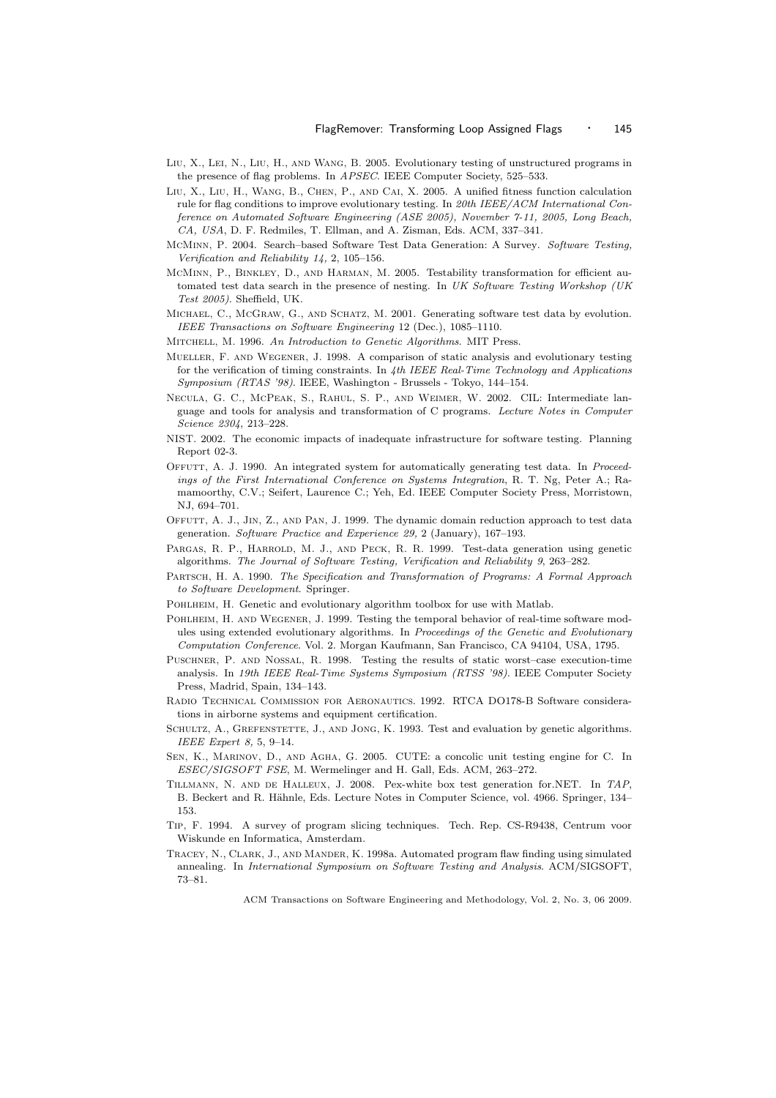- Liu, X., Lei, N., Liu, H., and Wang, B. 2005. Evolutionary testing of unstructured programs in the presence of flag problems. In *APSEC*. IEEE Computer Society, 525–533.
- Liu, X., Liu, H., Wang, B., Chen, P., and Cai, X. 2005. A unified fitness function calculation rule for flag conditions to improve evolutionary testing. In *20th IEEE/ACM International Conference on Automated Software Engineering (ASE 2005), November 7-11, 2005, Long Beach, CA, USA*, D. F. Redmiles, T. Ellman, and A. Zisman, Eds. ACM, 337–341.
- McMinn, P. 2004. Search–based Software Test Data Generation: A Survey. *Software Testing, Verification and Reliability 14,* 2, 105–156.
- MCMINN, P., BINKLEY, D., AND HARMAN, M. 2005. Testability transformation for efficient automated test data search in the presence of nesting. In *UK Software Testing Workshop (UK Test 2005)*. Sheffield, UK.
- Michael, C., McGraw, G., and Schatz, M. 2001. Generating software test data by evolution. *IEEE Transactions on Software Engineering* 12 (Dec.), 1085–1110.
- Mitchell, M. 1996. *An Introduction to Genetic Algorithms*. MIT Press.
- Mueller, F. and Wegener, J. 1998. A comparison of static analysis and evolutionary testing for the verification of timing constraints. In *4th IEEE Real-Time Technology and Applications Symposium (RTAS '98)*. IEEE, Washington - Brussels - Tokyo, 144–154.
- Necula, G. C., McPeak, S., Rahul, S. P., and Weimer, W. 2002. CIL: Intermediate language and tools for analysis and transformation of C programs. *Lecture Notes in Computer Science 2304*, 213–228.
- NIST. 2002. The economic impacts of inadequate infrastructure for software testing. Planning Report 02-3.
- OFFUTT, A. J. 1990. An integrated system for automatically generating test data. In *Proceedings of the First International Conference on Systems Integration*, R. T. Ng, Peter A.; Ramamoorthy, C.V.; Seifert, Laurence C.; Yeh, Ed. IEEE Computer Society Press, Morristown, NJ, 694–701.
- OFFUTT, A. J., JIN, Z., AND PAN, J. 1999. The dynamic domain reduction approach to test data generation. *Software Practice and Experience 29,* 2 (January), 167–193.
- PARGAS, R. P., HARROLD, M. J., AND PECK, R. R. 1999. Test-data generation using genetic algorithms. *The Journal of Software Testing, Verification and Reliability 9*, 263–282.
- Partsch, H. A. 1990. *The Specification and Transformation of Programs: A Formal Approach to Software Development*. Springer.
- POHLHEIM, H. Genetic and evolutionary algorithm toolbox for use with Matlab.
- POHLHEIM, H. AND WEGENER, J. 1999. Testing the temporal behavior of real-time software modules using extended evolutionary algorithms. In *Proceedings of the Genetic and Evolutionary Computation Conference*. Vol. 2. Morgan Kaufmann, San Francisco, CA 94104, USA, 1795.
- Puschner, P. and Nossal, R. 1998. Testing the results of static worst–case execution-time analysis. In *19th IEEE Real-Time Systems Symposium (RTSS '98)*. IEEE Computer Society Press, Madrid, Spain, 134–143.
- Radio Technical Commission for Aeronautics. 1992. RTCA DO178-B Software considerations in airborne systems and equipment certification.
- SCHULTZ, A., GREFENSTETTE, J., AND JONG, K. 1993. Test and evaluation by genetic algorithms. *IEEE Expert 8,* 5, 9–14.
- Sen, K., Marinov, D., and Agha, G. 2005. CUTE: a concolic unit testing engine for C. In *ESEC/SIGSOFT FSE*, M. Wermelinger and H. Gall, Eds. ACM, 263–272.
- Tillmann, N. and de Halleux, J. 2008. Pex-white box test generation for.NET. In *TAP*, B. Beckert and R. Hähnle, Eds. Lecture Notes in Computer Science, vol. 4966. Springer, 134– 153.
- Tip, F. 1994. A survey of program slicing techniques. Tech. Rep. CS-R9438, Centrum voor Wiskunde en Informatica, Amsterdam.
- TRACEY, N., CLARK, J., AND MANDER, K. 1998a. Automated program flaw finding using simulated annealing. In *International Symposium on Software Testing and Analysis*. ACM/SIGSOFT, 73–81.